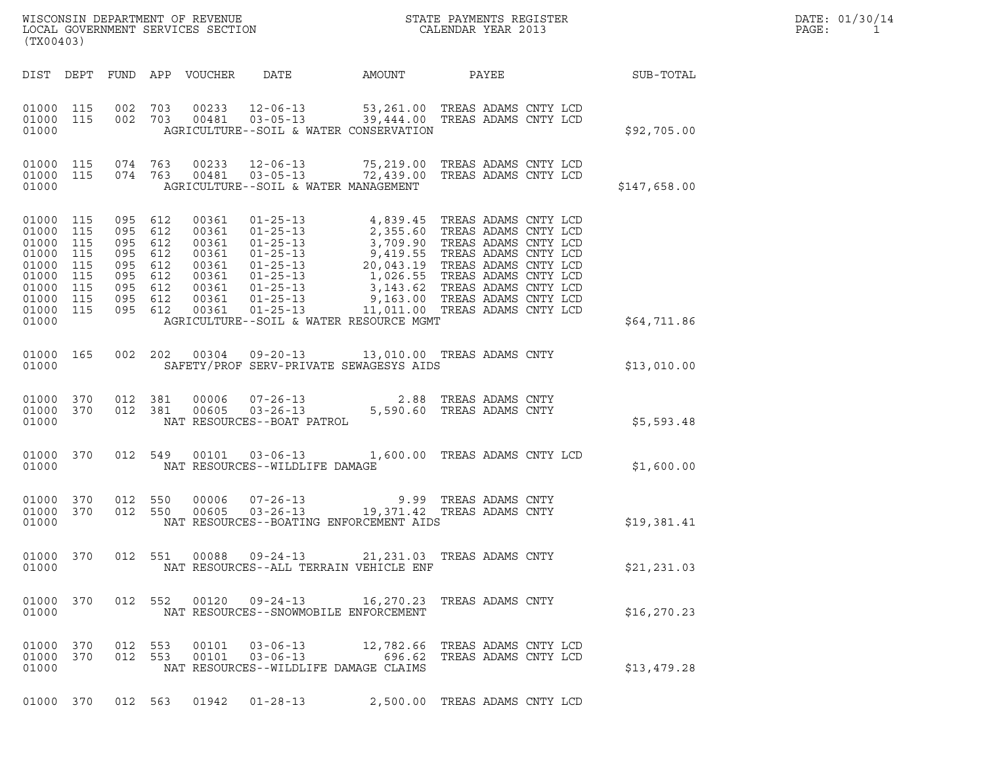| (TX00403)                                                                                      |                                               |                                  |                                                                   |                                                                               | WISCONSIN DEPARTMENT OF REVENUE<br>LOCAL GOVERNMENT SERVICES SECTION<br>(TWO 1403)                                                                                                                                                                                                                                                                           |                               |                                                        |                  | DATE: 01/30/14<br>PAGE:<br>$\mathbf{1}$ |
|------------------------------------------------------------------------------------------------|-----------------------------------------------|----------------------------------|-------------------------------------------------------------------|-------------------------------------------------------------------------------|--------------------------------------------------------------------------------------------------------------------------------------------------------------------------------------------------------------------------------------------------------------------------------------------------------------------------------------------------------------|-------------------------------|--------------------------------------------------------|------------------|-----------------------------------------|
|                                                                                                |                                               |                                  |                                                                   | DIST DEPT FUND APP VOUCHER                                                    | DATE                                                                                                                                                                                                                                                                                                                                                         | AMOUNT                        | PAYEE                                                  | <b>SUB-TOTAL</b> |                                         |
| 01000 115<br>01000                                                                             |                                               | 01000 115 002 703<br>002 703     |                                                                   | 00233<br>00481                                                                | 12-06-13 53,261.00 TREAS ADAMS CNTY LCD<br>03-05-13 39,444.00 TREAS ADAMS CNTY LCD<br>AGRICULTURE--SOIL & WATER CONSERVATION                                                                                                                                                                                                                                 |                               |                                                        | \$92,705.00      |                                         |
| 01000 115<br>01000                                                                             |                                               | 074 763<br>01000 115 074 763     |                                                                   | 00233<br>00481                                                                | 12-06-13 75,219.00 TREAS ADAMS CNTY LCD<br>03-05-13 72,439.00 TREAS ADAMS CNTY LCD<br>AGRICULTURE--SOIL & WATER MANAGEMENT                                                                                                                                                                                                                                   |                               |                                                        | \$147,658.00     |                                         |
| 01000 115<br>01000<br>01000<br>01000<br>01000<br>01000<br>01000<br>01000<br>01000 115<br>01000 | 115<br>115<br>115<br>115<br>115<br>115<br>115 | 095 612<br>095<br>095<br>095 612 | 612<br>095 612<br>612<br>095 612<br>095 612<br>095 612<br>095 612 | 00361<br>00361<br>00361<br>00361<br>00361<br>00361<br>00361<br>00361<br>00361 | $01 - 25 - 13$<br>01-25-13<br>2,355.60 TREAS ADAMS CNTY LCD<br>01-25-13<br>3,709.90 TREAS ADAMS CNTY LCD<br>01-25-13<br>20,043.19 TREAS ADAMS CNTY LCD<br>01-25-13<br>20,043.19 TREAS ADAMS CNTY LCD<br>01-25-13<br>3,143.62 TREAS ADAMS CNTY LCD<br>01-25-13<br>3,143<br>01-25-13 11,011.00 TREAS ADAMS CNTY LCD<br>AGRICULTURE--SOIL & WATER RESOURCE MGMT | 4,839.45 TREAS ADAMS CNTY LCD |                                                        | \$64,711.86      |                                         |
| 01000 165<br>01000                                                                             |                                               |                                  |                                                                   |                                                                               | 002  202  00304  09-20-13  13,010.00 TREAS ADAMS CNTY<br>SAFETY/PROF SERV-PRIVATE SEWAGESYS AIDS                                                                                                                                                                                                                                                             |                               |                                                        | \$13,010.00      |                                         |
| 01000 370<br>01000 370<br>01000                                                                |                                               | 012 381                          | 012 381                                                           | 00006<br>00605                                                                | 07-26-13 2.88 TREAS ADAMS CNTY<br>03-26-13 5,590.60 TREAS ADAMS CNTY<br>NAT RESOURCES--BOAT PATROL                                                                                                                                                                                                                                                           |                               |                                                        | \$5,593.48       |                                         |
| 01000 370<br>01000                                                                             |                                               |                                  | 012 549                                                           | 00101                                                                         | $03 - 06 - 13$<br>NAT RESOURCES--WILDLIFE DAMAGE                                                                                                                                                                                                                                                                                                             |                               | 1,600.00 TREAS ADAMS CNTY LCD                          | \$1,600.00       |                                         |
| 01000 370<br>01000 370<br>01000                                                                |                                               |                                  | 012 550<br>012 550                                                | 00006<br>00605                                                                | 07-26-13 9.99 TREAS ADAMS CNTY<br>03-26-13 19,371.42 TREAS ADAMS CNTY<br>NAT RESOURCES--BOATING ENFORCEMENT AIDS                                                                                                                                                                                                                                             |                               |                                                        | \$19,381.41      |                                         |
| 01000 370<br>01000                                                                             |                                               |                                  |                                                                   | 012 551 00088                                                                 | $09 - 24 - 13$<br>NAT RESOURCES--ALL TERRAIN VEHICLE ENF                                                                                                                                                                                                                                                                                                     |                               | 21,231.03 TREAS ADAMS CNTY                             | \$21, 231.03     |                                         |
| 01000 370<br>01000                                                                             |                                               |                                  | 012 552                                                           | 00120                                                                         | 09-24-13<br>NAT RESOURCES--SNOWMOBILE ENFORCEMENT                                                                                                                                                                                                                                                                                                            |                               | 16,270.23 TREAS ADAMS CNTY                             | \$16, 270.23     |                                         |
| 01000 370<br>01000 370<br>01000                                                                |                                               | 012 553                          | 012 553                                                           | 00101<br>00101                                                                | $03 - 06 - 13$<br>$03 - 06 - 13$<br>NAT RESOURCES--WILDLIFE DAMAGE CLAIMS                                                                                                                                                                                                                                                                                    | 696.62                        | 12,782.66 TREAS ADAMS CNTY LCD<br>TREAS ADAMS CNTY LCD | \$13,479.28      |                                         |
|                                                                                                |                                               |                                  |                                                                   |                                                                               | 01000 370 012 563 01942 01-28-13 2,500.00 TREAS ADAMS CNTY LCD                                                                                                                                                                                                                                                                                               |                               |                                                        |                  |                                         |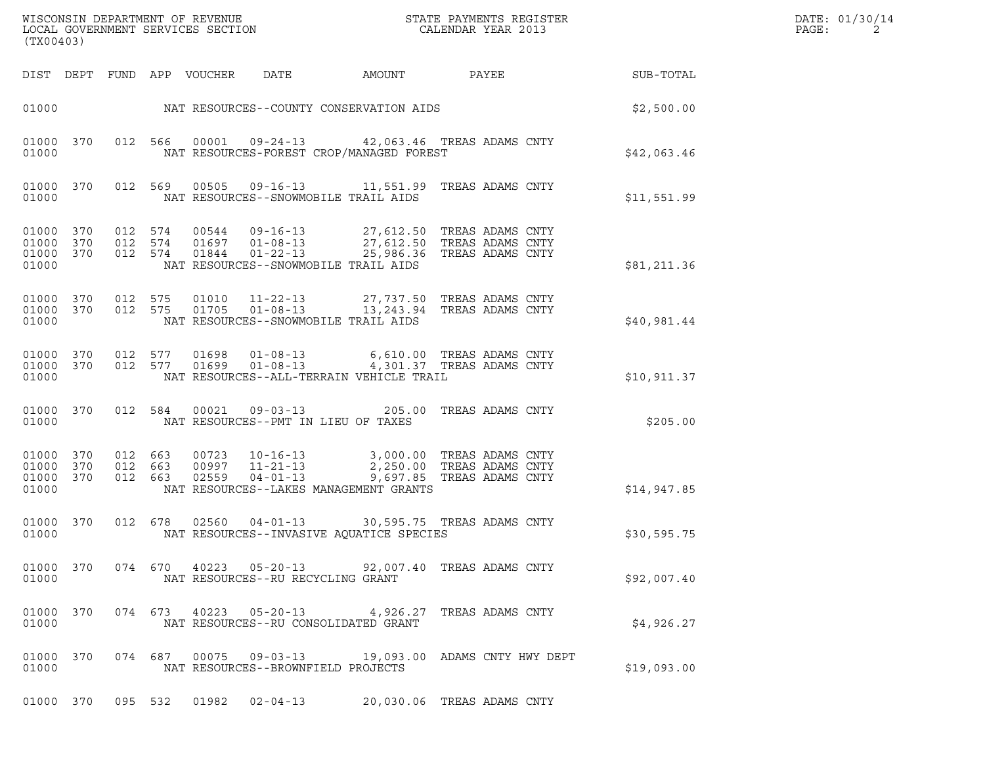| (TX00403)                                    |  |         |                            |                                                        |                                          |                                                                                                                                                                                                                                                                                                                                                                                   |             | DATE: 01/30/14<br>$\mathtt{PAGE}$ :<br>2 |
|----------------------------------------------|--|---------|----------------------------|--------------------------------------------------------|------------------------------------------|-----------------------------------------------------------------------------------------------------------------------------------------------------------------------------------------------------------------------------------------------------------------------------------------------------------------------------------------------------------------------------------|-------------|------------------------------------------|
|                                              |  |         | DIST DEPT FUND APP VOUCHER | DATE                                                   | AMOUNT                                   | PAYEE                                                                                                                                                                                                                                                                                                                                                                             | SUB-TOTAL   |                                          |
|                                              |  |         |                            |                                                        |                                          |                                                                                                                                                                                                                                                                                                                                                                                   | \$2,500.00  |                                          |
| 01000 370<br>01000                           |  |         |                            |                                                        | NAT RESOURCES-FOREST CROP/MANAGED FOREST | 012 566 00001 09-24-13 42,063.46 TREAS ADAMS CNTY                                                                                                                                                                                                                                                                                                                                 | \$42,063.46 |                                          |
| 01000 370<br>01000                           |  |         | 012 569 00505              | NAT RESOURCES--SNOWMOBILE TRAIL AIDS                   |                                          | 09-16-13 11,551.99 TREAS ADAMS CNTY                                                                                                                                                                                                                                                                                                                                               | \$11,551.99 |                                          |
| 01000 370<br>01000 370<br>01000 370<br>01000 |  |         |                            | NAT RESOURCES--SNOWMOBILE TRAIL AIDS                   |                                          | 012 574 00544 09-16-13 27,612.50 TREASADAMSCNTY<br>012 574 01697 01-08-13 27,612.50 TREASADAMSCNTY<br>012 574 01844 01-22-13 25,986.36 TREASADAMSCNTY                                                                                                                                                                                                                             | \$81,211.36 |                                          |
| 01000 370<br>01000 370<br>01000              |  |         |                            | NAT RESOURCES--SNOWMOBILE TRAIL AIDS                   |                                          | 012 575  01010  11-22-13  27,737.50 TREAS ADAMS CNTY<br>012 575  01705  01-08-13  13,243.94 TREAS ADAMS CNTY                                                                                                                                                                                                                                                                      | \$40,981.44 |                                          |
| 01000 370<br>01000 370<br>01000              |  |         |                            |                                                        | NAT RESOURCES--ALL-TERRAIN VEHICLE TRAIL | 012 577 01698 01-08-13 6,610.00 TREAS ADAMS CNTY<br>012 577 01699 01-08-13 4,301.37 TREAS ADAMS CNTY                                                                                                                                                                                                                                                                              | \$10,911.37 |                                          |
| 01000 370<br>01000                           |  | 012 584 | 00021                      | NAT RESOURCES--PMT IN LIEU OF TAXES                    |                                          | 09-03-13 205.00 TREAS ADAMS CNTY                                                                                                                                                                                                                                                                                                                                                  | \$205.00    |                                          |
| 01000 370<br>01000 370<br>01000 370<br>01000 |  |         |                            |                                                        | NAT RESOURCES--LAKES MANAGEMENT GRANTS   | $\begin{array}{cccc} 012 & 663 & 00723 & 10\text{--}16\text{--}13 \\ 012 & 663 & 00997 & 11\text{--}21\text{--}13 \\ 012 & 663 & 02559 & 04\text{--}01\text{--}13 \\ \end{array} \qquad \qquad \begin{array}{cccc} 3\text{, }000\text{.}00 & \text{TREAS ADAMS CNTY} \\ 2\text{, }250\text{.}00 & \text{TREAS ADAMS CNTY} \\ 9\text{, }697\text{.}85 & \text{TREAS ADAMS CNTY} \$ | \$14,947.85 |                                          |
| 01000 370<br>01000                           |  |         |                            |                                                        | NAT RESOURCES--INVASIVE AQUATICE SPECIES | 012 678 02560 04-01-13 30,595.75 TREAS ADAMS CNTY                                                                                                                                                                                                                                                                                                                                 | \$30,595.75 |                                          |
| 01000 370<br>01000                           |  |         | 074 670 40223              | $05 - 20 - 13$<br>NAT RESOURCES--RU RECYCLING GRANT    |                                          | 92,007.40 TREAS ADAMS CNTY                                                                                                                                                                                                                                                                                                                                                        | \$92,007.40 |                                          |
| 01000 370<br>01000                           |  | 074 673 | 40223                      | $05 - 20 - 13$<br>NAT RESOURCES--RU CONSOLIDATED GRANT |                                          | 4,926.27 TREAS ADAMS CNTY                                                                                                                                                                                                                                                                                                                                                         | \$4,926.27  |                                          |
| 01000 370<br>01000                           |  | 074 687 | 00075                      | $09 - 03 - 13$<br>NAT RESOURCES--BROWNFIELD PROJECTS   |                                          | 19,093.00 ADAMS CNTY HWY DEPT                                                                                                                                                                                                                                                                                                                                                     | \$19,093.00 |                                          |
| 01000 370                                    |  |         | 095 532 01982              | $02 - 04 - 13$                                         |                                          | 20,030.06 TREAS ADAMS CNTY                                                                                                                                                                                                                                                                                                                                                        |             |                                          |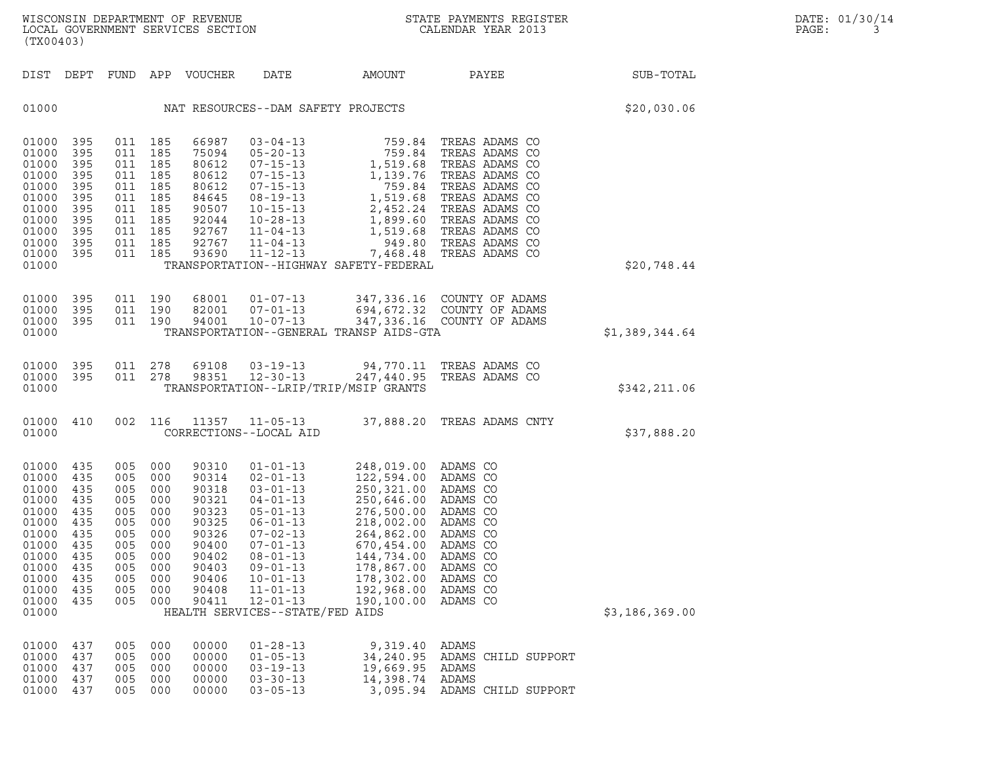| WISCONSIN DEPARTMENT OF REVENUE   | STATE PAYMENTS REGISTER | DATE: 01/30/14 |
|-----------------------------------|-------------------------|----------------|
| LOCAL GOVERNMENT SERVICES SECTION | CALENDAR YEAR 2013      | PAGE:          |

| (TX00403)                                                                                                                              |                                                                    |                                                                                                                       |                                               |                                                                                                                   |                                                                                                                                                                                                                                                                   |                                                                                                                                                                                                                        | WISCONSIN DEPARTMENT OF REVENUE<br>LOCAL GOVERNMENT SERVICES SECTION TERMS CONFIDENT STATE PAYMENTS REGIST<br>STATE PAYMENTS REGISTER |                | DATE: 01/30/14<br>PAGE:<br>3 |
|----------------------------------------------------------------------------------------------------------------------------------------|--------------------------------------------------------------------|-----------------------------------------------------------------------------------------------------------------------|-----------------------------------------------|-------------------------------------------------------------------------------------------------------------------|-------------------------------------------------------------------------------------------------------------------------------------------------------------------------------------------------------------------------------------------------------------------|------------------------------------------------------------------------------------------------------------------------------------------------------------------------------------------------------------------------|---------------------------------------------------------------------------------------------------------------------------------------|----------------|------------------------------|
|                                                                                                                                        |                                                                    |                                                                                                                       |                                               | DIST DEPT FUND APP VOUCHER                                                                                        | DATE                                                                                                                                                                                                                                                              |                                                                                                                                                                                                                        | AMOUNT PAYEE SUB-TOTAL                                                                                                                |                |                              |
| 01000                                                                                                                                  |                                                                    |                                                                                                                       |                                               |                                                                                                                   | NAT RESOURCES--DAM SAFETY PROJECTS                                                                                                                                                                                                                                |                                                                                                                                                                                                                        |                                                                                                                                       | \$20,030.06    |                              |
| 01000 395<br>01000<br>01000 395<br>01000<br>01000<br>01000<br>01000<br>01000<br>01000 395<br>01000 395<br>01000 395<br>01000           | 395<br>395<br>395<br>395<br>395<br>395                             | 011 185<br>011 185<br>011 185<br>011 185<br>011 185<br>011 185<br>011 185<br>011 185<br>011 185<br>011 185<br>011 185 |                                               | 66987<br>75094<br>80612<br>80612<br>80612<br>84645<br>90507<br>92044<br>92767<br>92767<br>93690                   | $11 - 12 - 13$                                                                                                                                                                                                                                                    | TRANSPORTATION--HIGHWAY SAFETY-FEDERAL                                                                                                                                                                                 | 7,468.48 TREAS ADAMS CO                                                                                                               | \$20,748.44    |                              |
| 01000 395<br>01000 395<br>01000 395<br>01000                                                                                           |                                                                    | 011 190<br>011 190<br>011 190                                                                                         |                                               | 68001<br>82001<br>94001                                                                                           |                                                                                                                                                                                                                                                                   | TRANSPORTATION--GENERAL TRANSP AIDS-GTA                                                                                                                                                                                | 01-07-13 347,336.16 COUNTY OF ADAMS<br>07-01-13 694,672.32 COUNTY OF ADAMS<br>10-07-13 347,336.16 COUNTY OF ADAMS                     | \$1,389,344.64 |                              |
| 01000 395<br>01000 395<br>01000                                                                                                        |                                                                    | 011 278<br>011 278                                                                                                    |                                               | 69108<br>98351                                                                                                    | $03 - 19 - 13$<br>$12 - 30 - 13$                                                                                                                                                                                                                                  | TRANSPORTATION--LRIP/TRIP/MSIP GRANTS                                                                                                                                                                                  | 94,770.11 TREAS ADAMS CO<br>247,440.95 TREAS ADAMS CO                                                                                 | \$342,211.06   |                              |
| 01000 410<br>01000                                                                                                                     |                                                                    | 002 116                                                                                                               |                                               |                                                                                                                   | CORRECTIONS--LOCAL AID                                                                                                                                                                                                                                            |                                                                                                                                                                                                                        | 11357   11-05-13   37,888.20   TREAS ADAMS CNTY                                                                                       | \$37,888.20    |                              |
| 01000 435<br>01000 435<br>01000<br>01000<br>01000<br>01000<br>01000<br>01000 435<br>01000<br>01000<br>01000<br>01000<br>01000<br>01000 | 435<br>435<br>435<br>435<br>435<br>435<br>435<br>435<br>435<br>435 | 005 000<br>005 000<br>005 000<br>005 000<br>005<br>005 000<br>005<br>005 000<br>005<br>005<br>005<br>005<br>005       | 000<br>000<br>000<br>000<br>000<br>000<br>000 | 90310<br>90314<br>90318<br>90321<br>90323<br>90325<br>90326<br>90400<br>90402<br>90403<br>90406<br>90408<br>90411 | $\begin{array}{l} 01-01-13 \\ 02-01-13 \\ 03-01-13 \\ 04-01-13 \\ 05-01-13 \\ 06-01-13 \\ 07-02-13 \\ \end{array}$<br>$07 - 01 - 13$<br>$08 - 01 - 13$<br>$09 - 01 - 13$<br>$10 - 01 - 13$<br>$11 - 01 - 13$<br>$12 - 01 - 13$<br>HEALTH SERVICES--STATE/FED AIDS | 248,019.00 ADAMS CO<br>122,594.00 ADAMS CO<br>250,321.00<br>250,646.00 ADAMS CO<br>276,500.00<br>218,002.00 ADAMS CO<br>264,862.00<br>670,454.00<br>144,734.00<br>178,867.00<br>178,302.00<br>192,968.00<br>190,100.00 | ADAMS CO<br>ADAMS CO<br>ADAMS CO<br>ADAMS CO<br>ADAMS CO<br>ADAMS CO<br>ADAMS CO<br>ADAMS CO<br>ADAMS CO                              | \$3,186,369.00 |                              |
| 01000<br>01000<br>01000<br>01000<br>01000                                                                                              | 437<br>437<br>437<br>437<br>437                                    | 005<br>005<br>005<br>005<br>005                                                                                       | 000<br>000<br>000<br>000<br>000               | 00000<br>00000<br>00000<br>00000<br>00000                                                                         | $01 - 28 - 13$<br>$01 - 05 - 13$<br>$03 - 19 - 13$<br>$03 - 30 - 13$<br>$03 - 05 - 13$                                                                                                                                                                            | 9,319.40<br>34,240.95<br>19,669.95<br>14,398.74<br>3,095.94                                                                                                                                                            | ADAMS<br>ADAMS CHILD SUPPORT<br>ADAMS<br>ADAMS<br>ADAMS CHILD SUPPORT                                                                 |                |                              |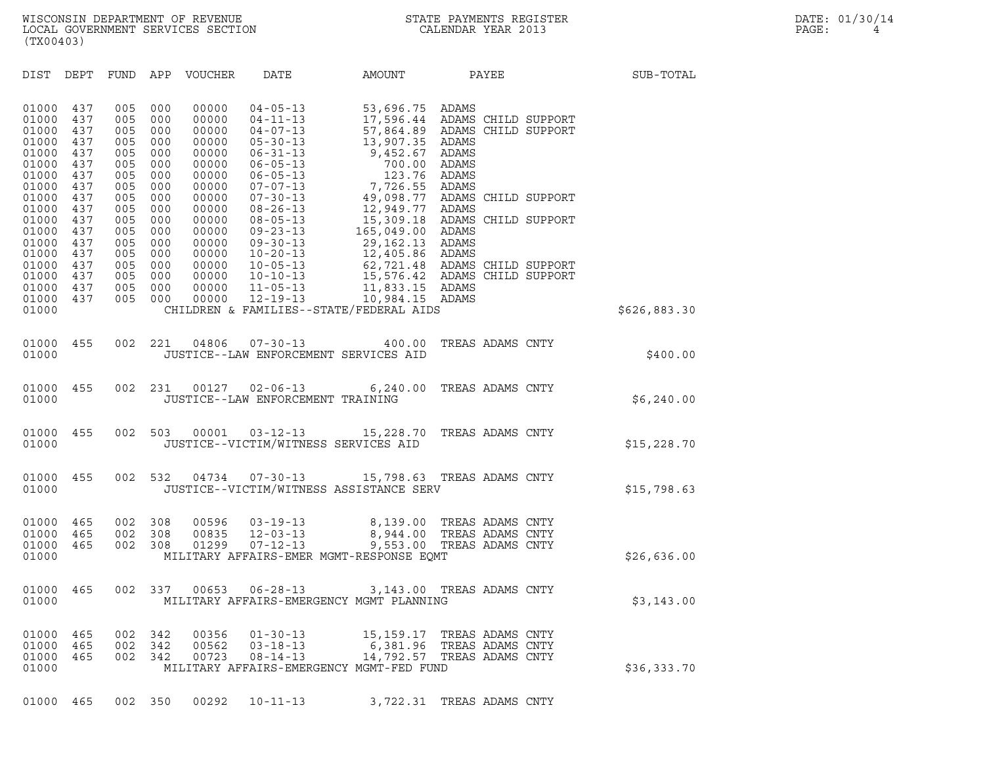| (TX00403)                                                   |                                               |                                               |                                               |                                                             |                                                                                                                            |                                                                                                                                                                    |                                                          |       |                                            |              |  |
|-------------------------------------------------------------|-----------------------------------------------|-----------------------------------------------|-----------------------------------------------|-------------------------------------------------------------|----------------------------------------------------------------------------------------------------------------------------|--------------------------------------------------------------------------------------------------------------------------------------------------------------------|----------------------------------------------------------|-------|--------------------------------------------|--------------|--|
| DIST                                                        | DEPT                                          | FUND                                          | APP                                           | VOUCHER                                                     | DATE                                                                                                                       | AMOUNT                                                                                                                                                             |                                                          | PAYEE |                                            | SUB-TOTAL    |  |
| 01000<br>01000<br>01000<br>01000<br>01000<br>01000<br>01000 | 437<br>437<br>437<br>437<br>437<br>437<br>437 | 005<br>005<br>005<br>005<br>005<br>005<br>005 | 000<br>000<br>000<br>000<br>000<br>000<br>000 | 00000<br>00000<br>00000<br>00000<br>00000<br>00000<br>00000 | $04 - 05 - 13$<br>$04 - 11 - 13$<br>$04 - 07 - 13$<br>$05 - 30 - 13$<br>$06 - 31 - 13$<br>$06 - 05 - 13$<br>$06 - 05 - 13$ | 53,696.75<br>17,596.44 ADAMS CHILD SUPPORT<br>57,864.89<br>13,907.35<br>9,452.67<br>700.00<br>123.76                                                               | ADAMS<br>ADAMS<br>ADAMS<br>ADAMS<br>ADAMS                |       | ADAMS CHILD SUPPORT                        |              |  |
| 01000<br>01000<br>01000<br>01000<br>01000<br>01000          | 437<br>437<br>437<br>437<br>437<br>437        | 005<br>005<br>005<br>005<br>005<br>005        | 000<br>000<br>000<br>000<br>000<br>000        | 00000<br>00000<br>00000<br>00000<br>00000<br>00000          | $07 - 07 - 13$<br>$07 - 30 - 13$<br>$08 - 26 - 13$<br>$08 - 05 - 13$<br>$09 - 23 - 13$<br>$09 - 30 - 13$                   | 7,726.55<br>49,098.77<br>12,949.77<br>15,309.18<br>165,049.00<br>29,162.13                                                                                         | ADAMS<br>ADAMS<br>ADAMS<br>ADAMS                         |       | ADAMS CHILD SUPPORT<br>ADAMS CHILD SUPPORT |              |  |
| 01000<br>01000<br>01000<br>01000<br>01000<br>01000          | 437<br>437<br>437<br>437<br>437               | 005<br>005<br>005<br>005<br>005               | 000<br>000<br>000<br>000<br>000               | 00000<br>00000<br>00000<br>00000<br>00000                   | $10 - 20 - 13$<br>$10 - 05 - 13$<br>$10 - 10 - 13$<br>$11 - 05 - 13$<br>$12 - 19 - 13$                                     | 12,405.86 ADAMS<br>62,721.48 ADAMS CHILD SUPPORT<br>15,576.42 ADAMS CHILD SUPPORT<br>11,833.15 ADAMS<br>10,984.15 ADAMS<br>CHILDREN & FAMILIES--STATE/FEDERAL AIDS |                                                          |       |                                            | \$626,883.30 |  |
| 01000<br>01000                                              | 455                                           | 002                                           | 221                                           | 04806                                                       | $07 - 30 - 13$                                                                                                             | 400.00<br>JUSTICE--LAW ENFORCEMENT SERVICES AID                                                                                                                    | TREAS ADAMS CNTY                                         |       |                                            | \$400.00     |  |
| 01000<br>01000                                              | 455                                           | 002                                           | 231                                           | 00127                                                       | $02 - 06 - 13$<br>JUSTICE--LAW ENFORCEMENT TRAINING                                                                        | 6, 240.00                                                                                                                                                          | TREAS ADAMS CNTY                                         |       |                                            | \$6,240.00   |  |
| 01000<br>01000                                              | 455                                           | 002                                           | 503                                           | 00001                                                       | $03 - 12 - 13$                                                                                                             | 15,228.70<br>JUSTICE--VICTIM/WITNESS SERVICES AID                                                                                                                  | TREAS ADAMS CNTY                                         |       |                                            | \$15,228.70  |  |
| 01000<br>01000                                              | 455                                           | 002                                           | 532                                           | 04734                                                       | $07 - 30 - 13$                                                                                                             | 15,798.63 TREAS ADAMS CNTY<br>JUSTICE--VICTIM/WITNESS ASSISTANCE SERV                                                                                              |                                                          |       |                                            | \$15,798.63  |  |
| 01000<br>01000<br>01000<br>01000                            | 465<br>465<br>465                             | 002<br>002<br>002                             | 308<br>308<br>308                             | 00596<br>00835<br>01299                                     | $03 - 19 - 13$<br>$12 - 03 - 13$<br>$07 - 12 - 13$                                                                         | 8,139.00<br>8,944.00<br>9,553.00<br>MILITARY AFFAIRS-EMER MGMT-RESPONSE EQMT                                                                                       | TREAS ADAMS CNTY<br>TREAS ADAMS CNTY<br>TREAS ADAMS CNTY |       |                                            | \$26,636.00  |  |
| 01000<br>01000                                              | 465                                           | 002                                           | 337                                           | 00653                                                       | $06 - 28 - 13$                                                                                                             | 3,143.00<br>MILITARY AFFAIRS-EMERGENCY MGMT PLANNING                                                                                                               | TREAS ADAMS CNTY                                         |       |                                            | \$3,143.00   |  |
| 01000<br>01000<br>01000<br>01000                            | 465<br>465<br>465                             | 002<br>002<br>002                             | 342<br>342<br>342                             | 00356<br>00562<br>00723                                     | $01 - 30 - 13$<br>$03 - 18 - 13$<br>08-14-13                                                                               | 15,159.17 TREAS ADAMS CNTY<br>6,381.96 TREAS ADAMS CNTY<br>14,792.57 TREAS ADAMS CNTY<br>MILITARY AFFAIRS-EMERGENCY MGMT-FED FUND                                  |                                                          |       |                                            | \$36,333.70  |  |

01000 465 002 350 00292 10-11-13 3,722.31 TREAS ADAMS CNTY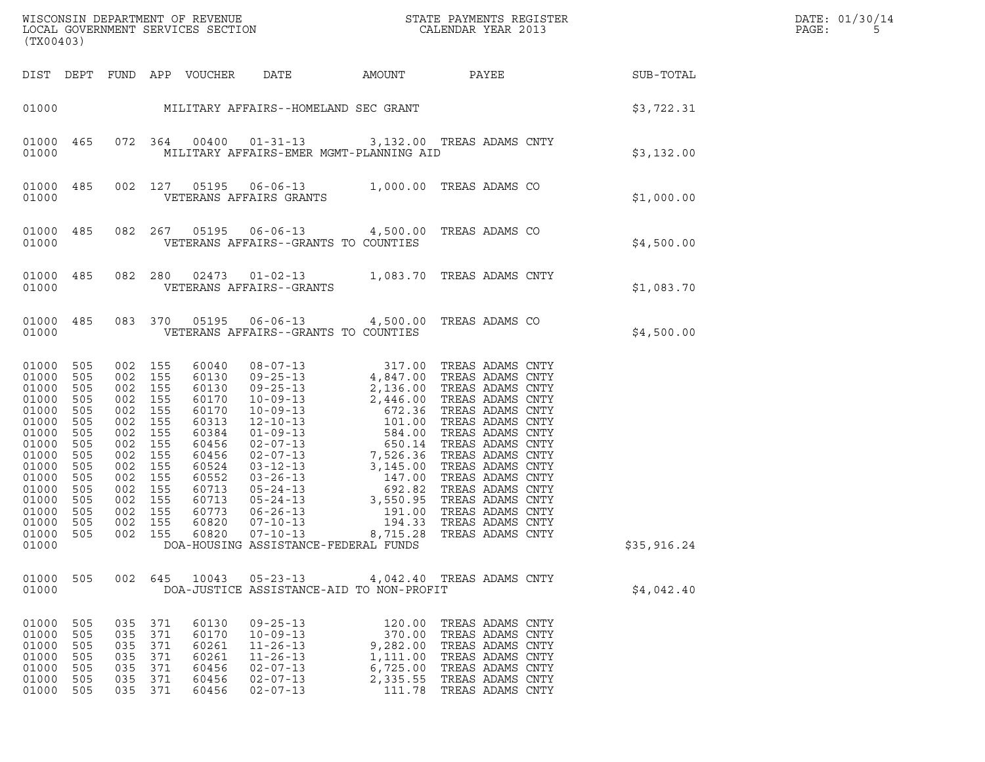| (TX00403)                                                                                                                                                 |                                                                                                       |                                                                                                                                                      |                                                   |                                                                                                                                              |                                                                                                                                                                                                                                                                                                                                       |                                                                            |                                                                                                                                                                                                                                                                                                                              |             | DATE: 01/30/14<br>PAGE:<br>5 |
|-----------------------------------------------------------------------------------------------------------------------------------------------------------|-------------------------------------------------------------------------------------------------------|------------------------------------------------------------------------------------------------------------------------------------------------------|---------------------------------------------------|----------------------------------------------------------------------------------------------------------------------------------------------|---------------------------------------------------------------------------------------------------------------------------------------------------------------------------------------------------------------------------------------------------------------------------------------------------------------------------------------|----------------------------------------------------------------------------|------------------------------------------------------------------------------------------------------------------------------------------------------------------------------------------------------------------------------------------------------------------------------------------------------------------------------|-------------|------------------------------|
|                                                                                                                                                           |                                                                                                       |                                                                                                                                                      |                                                   | DIST DEPT FUND APP VOUCHER                                                                                                                   | DATE                                                                                                                                                                                                                                                                                                                                  |                                                                            | AMOUNT PAYEE SUB-TOTAL                                                                                                                                                                                                                                                                                                       |             |                              |
|                                                                                                                                                           |                                                                                                       |                                                                                                                                                      |                                                   |                                                                                                                                              | 01000 MILITARY AFFAIRS--HOMELAND SEC GRANT                                                                                                                                                                                                                                                                                            |                                                                            | \$3,722.31                                                                                                                                                                                                                                                                                                                   |             |                              |
| 01000<br>01000                                                                                                                                            | 465                                                                                                   |                                                                                                                                                      | 072 364                                           |                                                                                                                                              | MILITARY AFFAIRS-EMER MGMT-PLANNING AID                                                                                                                                                                                                                                                                                               |                                                                            | 00400  01-31-13  3,132.00  TREAS ADAMS CNTY                                                                                                                                                                                                                                                                                  | \$3,132.00  |                              |
| 01000<br>01000                                                                                                                                            | 485                                                                                                   |                                                                                                                                                      | 002 127                                           |                                                                                                                                              | VETERANS AFFAIRS GRANTS                                                                                                                                                                                                                                                                                                               |                                                                            | 05195  06-06-13  1,000.00  TREAS ADAMS CO                                                                                                                                                                                                                                                                                    | \$1,000.00  |                              |
| 01000<br>01000                                                                                                                                            | 485                                                                                                   |                                                                                                                                                      | 082 267                                           |                                                                                                                                              | 05195  06-06-13  4,500.00 TREAS ADAMS CO<br>VETERANS AFFAIRS--GRANTS TO COUNTIES                                                                                                                                                                                                                                                      |                                                                            |                                                                                                                                                                                                                                                                                                                              | \$4,500.00  |                              |
| 01000<br>01000                                                                                                                                            | 485                                                                                                   |                                                                                                                                                      | 082 280                                           |                                                                                                                                              | VETERANS AFFAIRS--GRANTS                                                                                                                                                                                                                                                                                                              |                                                                            | 02473  01-02-13  1,083.70  TREAS ADAMS CNTY                                                                                                                                                                                                                                                                                  | \$1,083.70  |                              |
| 01000                                                                                                                                                     | 01000 485                                                                                             |                                                                                                                                                      | 083 370                                           | 05195                                                                                                                                        | VETERANS AFFAIRS--GRANTS TO COUNTIES                                                                                                                                                                                                                                                                                                  |                                                                            | 06-06-13 4,500.00 TREAS ADAMS CO                                                                                                                                                                                                                                                                                             | \$4,500.00  |                              |
| 01000<br>01000<br>01000<br>01000<br>01000<br>01000<br>01000<br>01000<br>01000<br>01000<br>01000<br>01000<br>01000<br>01000<br>01000<br>01000 505<br>01000 | 505<br>505<br>505<br>505<br>505<br>505<br>505<br>505<br>505<br>505<br>505<br>505<br>505<br>505<br>505 | 002 155<br>002 155<br>002 155<br>002 155<br>002<br>002 155<br>002<br>002<br>002<br>002 155<br>002<br>002 155<br>002<br>002 155<br>002 155<br>002 155 | 155<br>155<br>155<br>155<br>155<br>155            | 60040<br>60130<br>60130<br>60170<br>60170<br>60313<br>60384<br>60456<br>60456<br>60524<br>60552<br>60713<br>60713<br>60773<br>60820<br>60820 | $\begin{array}{cccc} 08-07-13 & 317.00 \\ 09-25-13 & 4,847.00 \\ 09-25-13 & 2,136.00 \\ 10-09-13 & 2,446.00 \\ 10-09-13 & 672.36 \\ 12-10-13 & 101.00 \\ 01-09-13 & 584.00 \\ 02-07-13 & 7,526.36 \\ 03-12-13 & 3,145.00 \\ 03-26-13 & 47.00 \\ 05-24-13 & 692.82 \\ 06-26$<br>$07 - 10 - 13$<br>DOA-HOUSING ASSISTANCE-FEDERAL FUNDS | 8,715.28                                                                   | TREAS ADAMS CNTY<br>TREAS ADAMS CNTY<br>TREAS ADAMS CNTY<br>TREAS ADAMS CNTY<br>TREAS ADAMS CNTY<br>TREAS ADAMS CNTY<br>TREAS ADAMS CNTY<br>TREAS ADAMS CNTY<br>TREAS ADAMS CNTY<br>TREAS ADAMS CNTY<br>TREAS ADAMS CNTY<br>TREAS ADAMS CNTY<br>TREAS ADAMS CNTY<br>TREAS ADAMS CNTY<br>TREAS ADAMS CNTY<br>TREAS ADAMS CNTY | \$35,916.24 |                              |
| 01000 505<br>01000                                                                                                                                        |                                                                                                       |                                                                                                                                                      |                                                   |                                                                                                                                              | DOA-JUSTICE ASSISTANCE-AID TO NON-PROFIT                                                                                                                                                                                                                                                                                              |                                                                            | 002 645 10043 05-23-13 4,042.40 TREAS ADAMS CNTY                                                                                                                                                                                                                                                                             | \$4,042.40  |                              |
| 01000<br>01000<br>01000<br>01000<br>01000<br>01000<br>01000 505                                                                                           | 505<br>505<br>505<br>505<br>505<br>505                                                                | 035<br>035<br>035<br>035<br>035<br>035                                                                                                               | 371<br>371<br>371<br>371<br>371<br>371<br>035 371 | 60130<br>60170<br>60261<br>60261<br>60456<br>60456<br>60456                                                                                  | $09 - 25 - 13$<br>$10 - 09 - 13$<br>$11 - 26 - 13$<br>$11 - 26 - 13$<br>$02 - 07 - 13$<br>$02 - 07 - 13$<br>$02 - 07 - 13$                                                                                                                                                                                                            | 120.00<br>370.00<br>9,282.00<br>1,111.00<br>6,725.00<br>2,335.55<br>111.78 | TREAS ADAMS CNTY<br>TREAS ADAMS CNTY<br>TREAS ADAMS CNTY<br>TREAS ADAMS CNTY<br>TREAS ADAMS CNTY<br>TREAS ADAMS CNTY<br>TREAS ADAMS CNTY                                                                                                                                                                                     |             |                              |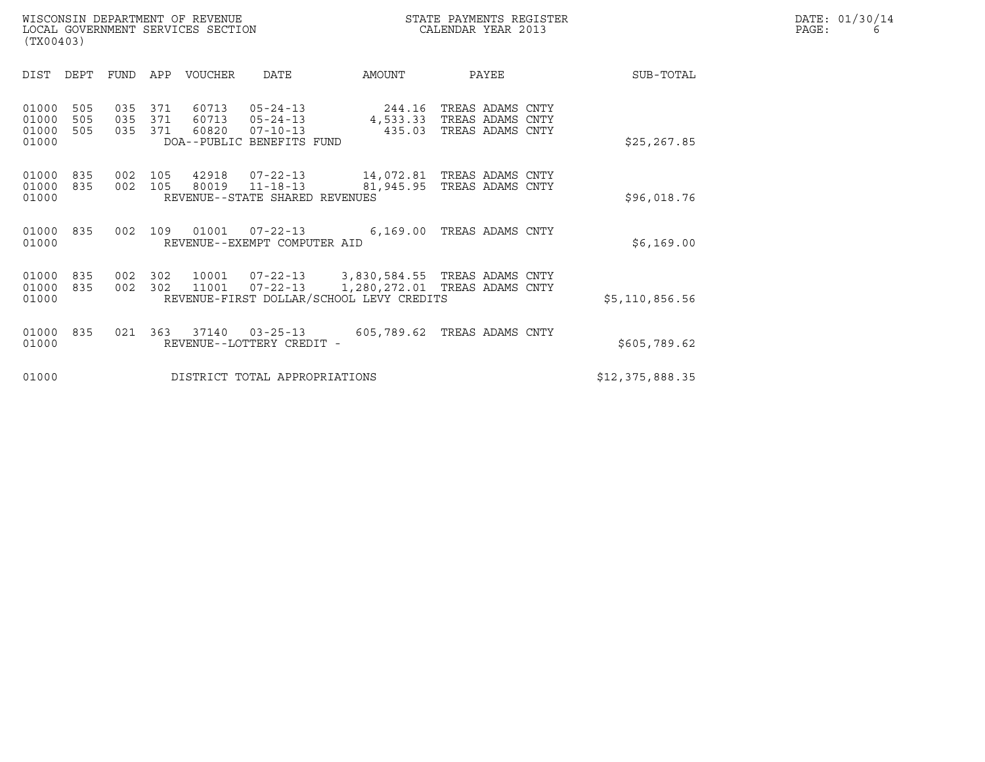|       | DATE: 01/30/14 |
|-------|----------------|
| PAGE: | 6              |

| WISCONSIN DEPARTMENT OF REVENUE<br>LOCAL GOVERNMENT SERVICES SECTION<br>(TX00403) | STATE PAYMENTS REGISTER<br>CALENDAR YEAR 2013 | DATE: 01/30/14<br>PAGE: |
|-----------------------------------------------------------------------------------|-----------------------------------------------|-------------------------|

| (TX00403)                        |                   |                   |                   |                         |                                                                                 |                                                                                                                              |                                                                   |                 |
|----------------------------------|-------------------|-------------------|-------------------|-------------------------|---------------------------------------------------------------------------------|------------------------------------------------------------------------------------------------------------------------------|-------------------------------------------------------------------|-----------------|
| DIST                             | DEPT              | FUND              | APP               | <b>VOUCHER</b>          | DATE                                                                            | AMOUNT                                                                                                                       | PAYEE                                                             | SUB-TOTAL       |
| 01000<br>01000<br>01000<br>01000 | 505<br>505<br>505 | 035<br>035<br>035 | 371<br>371<br>371 | 60713<br>60713<br>60820 | $05 - 24 - 13$<br>$05 - 24 - 13$<br>$07 - 10 - 13$<br>DOA--PUBLIC BENEFITS FUND | 244.16<br>435.03                                                                                                             | TREAS ADAMS CNTY<br>4,533.33 TREAS ADAMS CNTY<br>TREAS ADAMS CNTY | \$25, 267.85    |
| 01000<br>01000<br>01000          | 835<br>835        | 002<br>002        | 105<br>105        | 42918<br>80019          | $07 - 22 - 13$<br>$11 - 18 - 13$<br>REVENUE--STATE SHARED REVENUES              |                                                                                                                              | 14,072.81 TREAS ADAMS CNTY<br>81,945.95 TREAS ADAMS CNTY          | \$96,018.76     |
| 01000<br>01000                   | 835               | 002               | 109               | 01001                   | $07 - 22 - 13$<br>REVENUE--EXEMPT COMPUTER AID                                  |                                                                                                                              | 6,169.00 TREAS ADAMS CNTY                                         | \$6,169.00      |
| 01000<br>01000<br>01000          | 835<br>835        | 002<br>002        | 302<br>302        | 11001                   | $07 - 22 - 13$                                                                  | 10001  07-22-13  3,830,584.55  TREAS ADAMS CNTY<br>1,280,272.01 TREAS ADAMS CNTY<br>REVENUE-FIRST DOLLAR/SCHOOL LEVY CREDITS |                                                                   | \$5,110,856.56  |
| 01000<br>01000                   | 835               | 021               | 363               | 37140                   | $03 - 25 - 13$<br>REVENUE--LOTTERY CREDIT -                                     | 605,789.62                                                                                                                   | TREAS ADAMS CNTY                                                  | \$605,789.62    |
| 01000                            |                   |                   |                   |                         | DISTRICT TOTAL APPROPRIATIONS                                                   |                                                                                                                              |                                                                   | \$12,375,888.35 |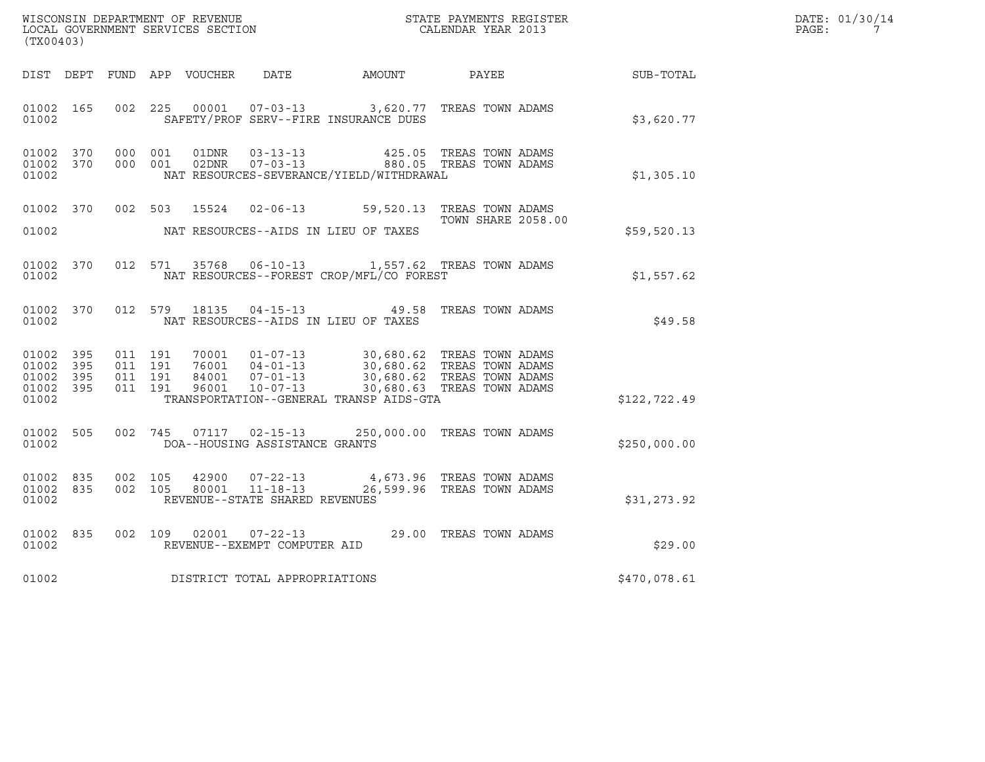|       | DATE: 01/30/14 |
|-------|----------------|
| PAGE: |                |

| WISCONSIN DEPARTMENT OF REVENUE<br>LOCAL GOVERNMENT SERVICES SECTION<br>(TX00403) |     |  |                                          |                  |                                                                      | STATE PAYMENTS REGISTER<br>CALENDAR YEAR 2013                                        |                                                                                                                      |              | DATE: 01/30/14<br>PAGE:<br>$7\phantom{0}$ |
|-----------------------------------------------------------------------------------|-----|--|------------------------------------------|------------------|----------------------------------------------------------------------|--------------------------------------------------------------------------------------|----------------------------------------------------------------------------------------------------------------------|--------------|-------------------------------------------|
| DIST DEPT                                                                         |     |  |                                          | FUND APP VOUCHER | DATE                                                                 | AMOUNT                                                                               | PAYEE                                                                                                                | SUB-TOTAL    |                                           |
| 01002 165<br>01002                                                                |     |  | 002 225                                  | 00001            |                                                                      | 07-03-13 3,620.77 TREAS TOWN ADAMS<br>SAFETY/PROF SERV--FIRE INSURANCE DUES          |                                                                                                                      | \$3,620.77   |                                           |
| 01002 370<br>01002 370<br>01002                                                   |     |  | 000 001<br>000 001                       | 01DNR<br>02DNR   | $03 - 13 - 13$<br>$07 - 03 - 13$                                     | NAT RESOURCES-SEVERANCE/YIELD/WITHDRAWAL                                             | 425.05 TREAS TOWN ADAMS<br>880.05 TREAS TOWN ADAMS                                                                   | \$1,305.10   |                                           |
| 01002 370<br>01002                                                                |     |  | 002 503                                  |                  |                                                                      | 15524  02-06-13  59,520.13  TREAS TOWN ADAMS<br>NAT RESOURCES--AIDS IN LIEU OF TAXES | <b>TOWN SHARE 2058.00</b>                                                                                            | \$59,520.13  |                                           |
| 01002 370<br>01002                                                                |     |  | 012 571                                  | 35768            |                                                                      | 06-10-13 1,557.62 TREAS TOWN ADAMS<br>NAT RESOURCES--FOREST CROP/MFL/CO FOREST       |                                                                                                                      | \$1,557.62   |                                           |
| 01002 370<br>01002                                                                |     |  |                                          | 012 579 18135    |                                                                      | 04-15-13 49.58 TREAS TOWN ADAMS<br>NAT RESOURCES--AIDS IN LIEU OF TAXES              |                                                                                                                      | \$49.58      |                                           |
| 01002 395<br>01002<br>01002 395<br>01002 395<br>01002                             | 395 |  | 011 191<br>011 191<br>011 191<br>011 191 | 70001<br>96001   | $01 - 07 - 13$<br>76001 04-01-13<br>84001 07-01-13<br>$10 - 07 - 13$ | TRANSPORTATION--GENERAL TRANSP AIDS-GTA                                              | 30,680.62 TREAS TOWN ADAMS<br>30,680.62 TREAS TOWN ADAMS<br>30,680.62 TREAS TOWN ADAMS<br>30,680.63 TREAS TOWN ADAMS | \$122,722.49 |                                           |
| 01002<br>01002                                                                    | 505 |  | 002 745                                  | 07117            | $02 - 15 - 13$<br>DOA--HOUSING ASSISTANCE GRANTS                     |                                                                                      | 250,000.00 TREAS TOWN ADAMS                                                                                          | \$250,000.00 |                                           |
| 01002 835<br>01002 835<br>01002                                                   |     |  | 002 105<br>002 105                       | 42900<br>80001   | $07 - 22 - 13$<br>$11 - 18 - 13$<br>REVENUE--STATE SHARED REVENUES   |                                                                                      | 4,673.96 TREAS TOWN ADAMS<br>26,599.96 TREAS TOWN ADAMS                                                              | \$31,273.92  |                                           |
| 01002 835<br>01002                                                                |     |  | 002 109                                  | 02001            | $07 - 22 - 13$<br>REVENUE--EXEMPT COMPUTER AID                       |                                                                                      | 29.00 TREAS TOWN ADAMS                                                                                               | \$29.00      |                                           |
| 01002                                                                             |     |  |                                          |                  | DISTRICT TOTAL APPROPRIATIONS                                        |                                                                                      |                                                                                                                      | \$470,078.61 |                                           |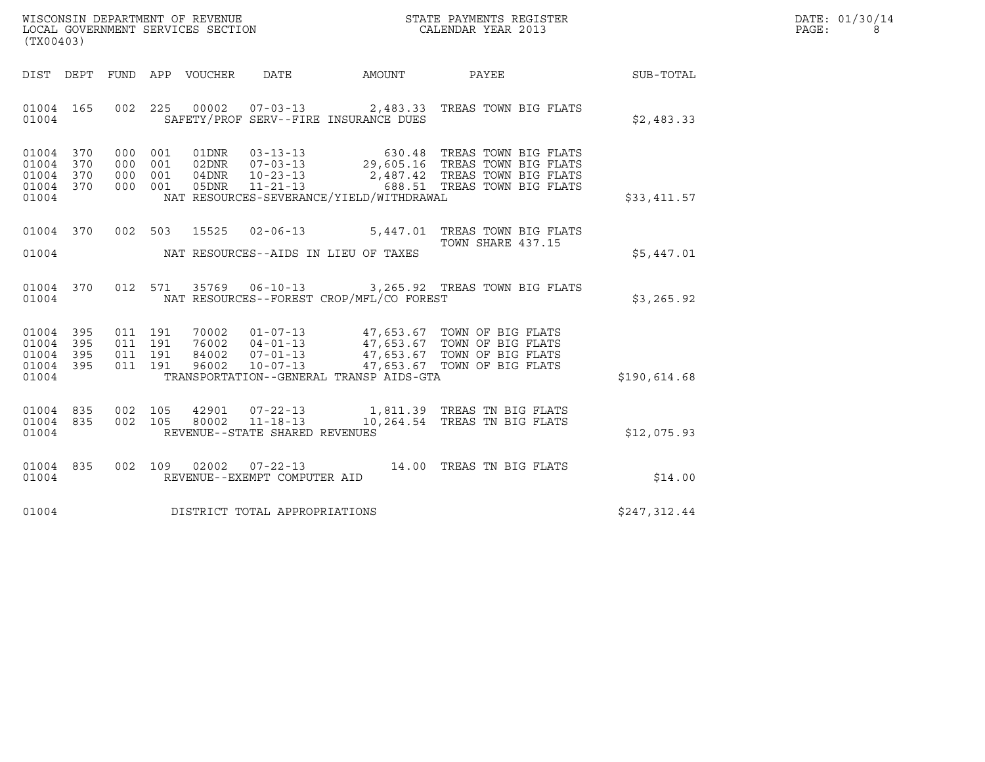| WISCONSIN DEPARTMENT OF REVENUE<br>LOCAL GOVERNMENT SERVICES SECTION | STATE PAYMENTS REGISTER<br>CALENDAR YEAR 2013 | DATE: 01/30/14<br>PAGE: |
|----------------------------------------------------------------------|-----------------------------------------------|-------------------------|

| (TX00403)                                                 |  |  |                                |                                            | WISCONSIN DEPARTMENT OF REVENUE<br>LOCAL GOVERNMENT SERVICES SECTION<br>CALENDAR YEAR 2013                                                                                                                                |              | DATE: 01/30/14<br>PAGE:<br>8 |
|-----------------------------------------------------------|--|--|--------------------------------|--------------------------------------------|---------------------------------------------------------------------------------------------------------------------------------------------------------------------------------------------------------------------------|--------------|------------------------------|
|                                                           |  |  |                                |                                            | DIST DEPT FUND APP VOUCHER DATE AMOUNT PAYEE PAYER SUB-TOTAL                                                                                                                                                              |              |                              |
| 01004                                                     |  |  |                                | SAFETY/PROF SERV--FIRE INSURANCE DUES      | 01004 165 002 225 00002 07-03-13 2,483.33 TREAS TOWN BIG FLATS                                                                                                                                                            | \$2,483.33   |                              |
| 01004 370<br>01004 370<br>01004 370<br>01004 370<br>01004 |  |  |                                | NAT RESOURCES-SEVERANCE/YIELD/WITHDRAWAL   | 000 001 01DNR 03-13-13 630.48 TREAS TOWN BIG FLATS<br>000 001 02DNR 07-03-13 29,605.16 TREAS TOWN BIG FLATS<br>000 001 04DNR 10-23-13 2,487.42 TREAS TOWN BIG FLATS<br>000 001 05DNR 10-23-13 688.51 TREAS TOWN BIG FLATS | \$33,411.57  |                              |
|                                                           |  |  |                                | 01004 NAT RESOURCES--AIDS IN LIEU OF TAXES | 01004 370 002 503 15525 02-06-13 5,447.01 TREAS TOWN BIG FLATS<br>TOWN SHARE 437.15                                                                                                                                       | \$5,447.01   |                              |
| 01004                                                     |  |  |                                | NAT RESOURCES--FOREST CROP/MFL/CO FOREST   | 01004 370 012 571 35769 06-10-13 3,265.92 TREAS TOWN BIG FLATS                                                                                                                                                            | \$3,265.92   |                              |
| 01004 395<br>01004 395<br>01004 395<br>01004 395<br>01004 |  |  |                                | TRANSPORTATION--GENERAL TRANSP AIDS-GTA    |                                                                                                                                                                                                                           | \$190,614.68 |                              |
| 01004 835<br>01004 835<br>01004                           |  |  | REVENUE--STATE SHARED REVENUES |                                            | 002 105 42901 07-22-13 1,811.39 TREAS TN BIG FLATS<br>002 105 80002 11-18-13 10,264.54 TREAS TN BIG FLATS                                                                                                                 | \$12,075.93  |                              |
| 01004                                                     |  |  | REVENUE--EXEMPT COMPUTER AID   |                                            | 01004 835 002 109 02002 07-22-13 14.00 TREAS TN BIG FLATS                                                                                                                                                                 | \$14.00      |                              |
| 01004                                                     |  |  | DISTRICT TOTAL APPROPRIATIONS  |                                            |                                                                                                                                                                                                                           | \$247,312.44 |                              |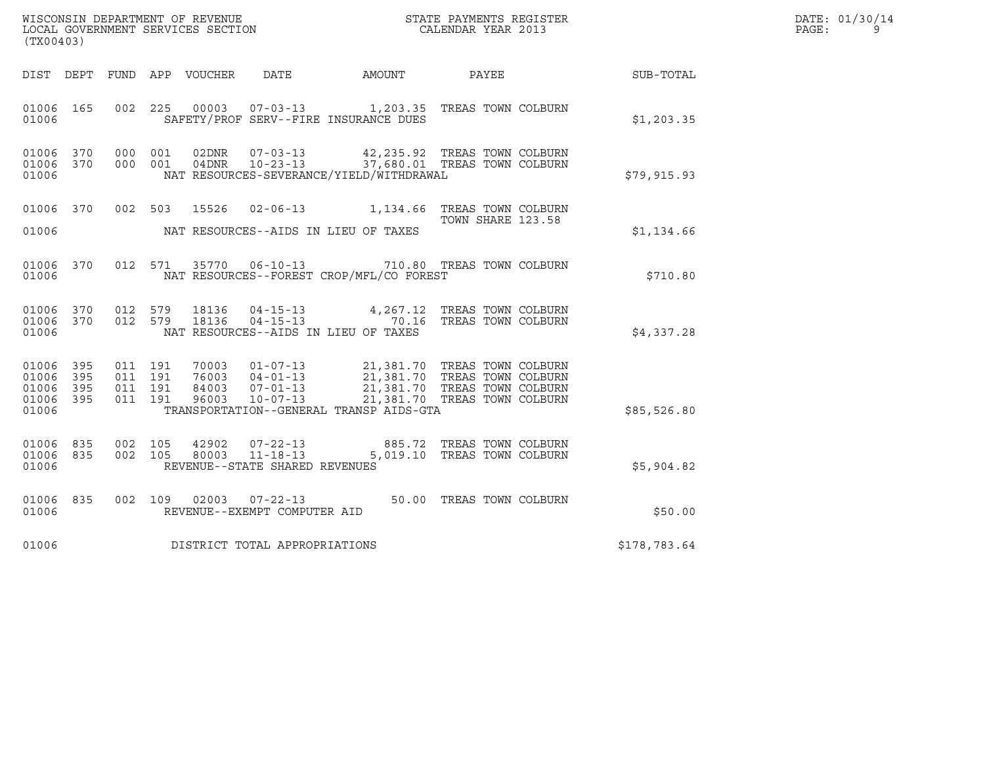|       | DATE: 01/30/14 |
|-------|----------------|
| PAGE: |                |

| (TX00403)                                             |           |                               |         |                                  |                                                                    |                                                                                                                                                         |              | DATE: 01/30/14<br>$\mathtt{PAGE}$ :<br>9 |
|-------------------------------------------------------|-----------|-------------------------------|---------|----------------------------------|--------------------------------------------------------------------|---------------------------------------------------------------------------------------------------------------------------------------------------------|--------------|------------------------------------------|
|                                                       |           |                               |         |                                  | DIST DEPT FUND APP VOUCHER DATE AMOUNT PAYEE                       |                                                                                                                                                         | SUB-TOTAL    |                                          |
| 01006 165<br>01006                                    |           |                               |         |                                  | SAFETY/PROF SERV--FIRE INSURANCE DUES                              | 002 225 00003 07-03-13 1,203.35 TREAS TOWN COLBURN                                                                                                      | \$1,203.35   |                                          |
| 01006 370<br>01006 370<br>01006                       |           | 000 001                       | 000 001 | 02DNR<br>04DNR                   | $07 - 03 - 13$<br>NAT RESOURCES-SEVERANCE/YIELD/WITHDRAWAL         | 42,235.92 TREAS TOWN COLBURN<br>10-23-13 37,680.01 TREAS TOWN COLBURN                                                                                   | \$79,915.93  |                                          |
| 01006                                                 |           |                               |         |                                  | NAT RESOURCES--AIDS IN LIEU OF TAXES                               | 01006 370 002 503 15526 02-06-13 1,134.66 TREAS TOWN COLBURN<br>TOWN SHARE 123.58                                                                       | \$1,134.66   |                                          |
| 01006                                                 | 01006 370 |                               |         |                                  | NAT RESOURCES--FOREST CROP/MFL/CO FOREST                           | 012 571 35770 06-10-13 710.80 TREAS TOWN COLBURN                                                                                                        | \$710.80     |                                          |
| 01006 370<br>01006                                    | 01006 370 | 012 579<br>012 579            |         | 18136<br>18136                   | NAT RESOURCES--AIDS IN LIEU OF TAXES                               | 04-15-13 4,267.12 TREAS TOWN COLBURN<br>04-15-13 70.16 TREAS TOWN COLBURN                                                                               | \$4,337.28   |                                          |
| 01006 395<br>01006<br>01006 395<br>01006 395<br>01006 | 395       | 011 191<br>011 191<br>011 191 | 011 191 | 70003<br>76003<br>84003<br>96003 | $10 - 07 - 13$<br>TRANSPORTATION--GENERAL TRANSP AIDS-GTA          | 01-07-13 21,381.70 TREAS TOWN COLBURN<br>04-01-13 21,381.70 TREAS TOWN COLBURN<br>07-01-13 21,381.70 TREAS TOWN COLBURN<br>21,381.70 TREAS TOWN COLBURN | \$85,526.80  |                                          |
| 01006 835<br>01006 835<br>01006                       |           | 002 105<br>002 105            |         | 42902<br>80003                   | $07 - 22 - 13$<br>$11 - 18 - 13$<br>REVENUE--STATE SHARED REVENUES | 885.72 TREAS TOWN COLBURN<br>5,019.10 TREAS TOWN COLBURN                                                                                                | \$5,904.82   |                                          |
| 01006 835<br>01006                                    |           |                               |         |                                  | REVENUE--EXEMPT COMPUTER AID                                       | 002 109 02003 07-22-13 50.00 TREAS TOWN COLBURN                                                                                                         | \$50.00      |                                          |
| 01006                                                 |           |                               |         |                                  | DISTRICT TOTAL APPROPRIATIONS                                      |                                                                                                                                                         | \$178,783.64 |                                          |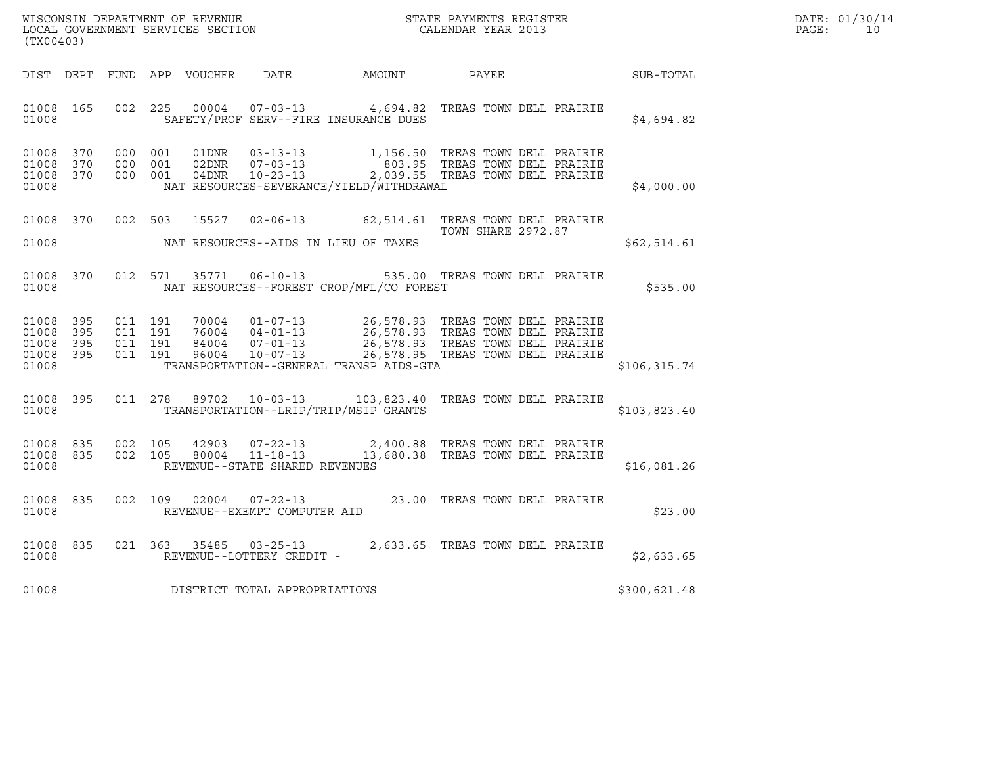|       | DATE: 01/30/14 |
|-------|----------------|
| PAGE: | 10             |

| (TX00403)                                                 | WISCONSIN DEPARTMENT OF REVENUE<br>LOCAL GOVERNMENT SERVICES SECTION<br>CALENDAR YEAR 2013                                                                                                                                                                                      |                           | $R = \frac{1}{2}$ | DATE: 01/30/14<br>PAGE: 10 |
|-----------------------------------------------------------|---------------------------------------------------------------------------------------------------------------------------------------------------------------------------------------------------------------------------------------------------------------------------------|---------------------------|-------------------|----------------------------|
|                                                           | DIST DEPT FUND APP VOUCHER DATE AMOUNT PAYEE SUB-TOTAL                                                                                                                                                                                                                          |                           |                   |                            |
| 01008 165<br>01008                                        | 002 225 00004 07-03-13 4,694.82 TREAS TOWN DELL PRAIRIE<br>SAFETY/PROF SERV--FIRE INSURANCE DUES                                                                                                                                                                                |                           | \$4,694.82        |                            |
| 01008 370<br>01008 370<br>01008 370<br>01008              | 000 001 01DNR 03-13-13 1,156.50 TREAS TOWN DELL PRAIRIE<br>000 001 02DNR 07-03-13 803.95 TREAS TOWN DELL PRAIRIE<br>000 001 04DNR 10-23-13 2,039.55 TREAS TOWN DELL PRAIRIE<br>NAT RESOURCES-SEVERANCE/YIELD/WITHDRAWAL                                                         |                           | \$4,000.00        |                            |
| 01008 370<br>01008                                        | 15527 02-06-13 62,514.61 TREAS TOWN DELL PRAIRIE<br>002 503<br>NAT RESOURCES--AIDS IN LIEU OF TAXES                                                                                                                                                                             | <b>TOWN SHARE 2972.87</b> | \$62,514.61       |                            |
| 01008 370<br>01008                                        | 012 571 35771 06-10-13 535.00 TREAS TOWN DELL PRAIRIE<br>NAT RESOURCES--FOREST CROP/MFL/CO FOREST                                                                                                                                                                               |                           | \$535.00          |                            |
| 01008 395<br>01008 395<br>01008 395<br>01008 395<br>01008 | 011 191 70004 01-07-13 26,578.93 TREAS TOWN DELL PRAIRIE<br>011 191 76004 04-01-13 26,578.93 TREAS TOWN DELL PRAIRIE<br>011 191 96004 10-07-13 26,578.95 TREAS TOWN DELL PRAIRIE<br>011 191 96004 10-07-13 26,578.95 TREAS TOWN DELL<br>TRANSPORTATION--GENERAL TRANSP AIDS-GTA |                           | \$106, 315.74     |                            |
| 01008 395<br>01008                                        | 011  278  89702  10-03-13  103,823.40  TREAS TOWN DELL PRAIRIE<br>TRANSPORTATION--LRIP/TRIP/MSIP GRANTS                                                                                                                                                                         |                           | \$103,823.40      |                            |
| 01008 835<br>01008 835<br>01008                           | 002 105 42903 07-22-13 2,400.88 TREAS TOWN DELL PRAIRIE<br>002 105 80004 11-18-13 13,680.38 TREAS TOWN DELL PRAIRIE<br>REVENUE--STATE SHARED REVENUES                                                                                                                           |                           | \$16,081.26       |                            |
| 01008 835<br>01008                                        | 002 109 02004 07-22-13 23.00 TREAS TOWN DELL PRAIRIE<br>REVENUE--EXEMPT COMPUTER AID                                                                                                                                                                                            |                           | \$23.00           |                            |
| 835<br>01008<br>01008                                     | 021 363 35485 03-25-13 2,633.65 TREAS TOWN DELL PRAIRIE<br>REVENUE--LOTTERY CREDIT -                                                                                                                                                                                            |                           | \$2,633.65        |                            |
| 01008                                                     | DISTRICT TOTAL APPROPRIATIONS                                                                                                                                                                                                                                                   |                           | \$300,621.48      |                            |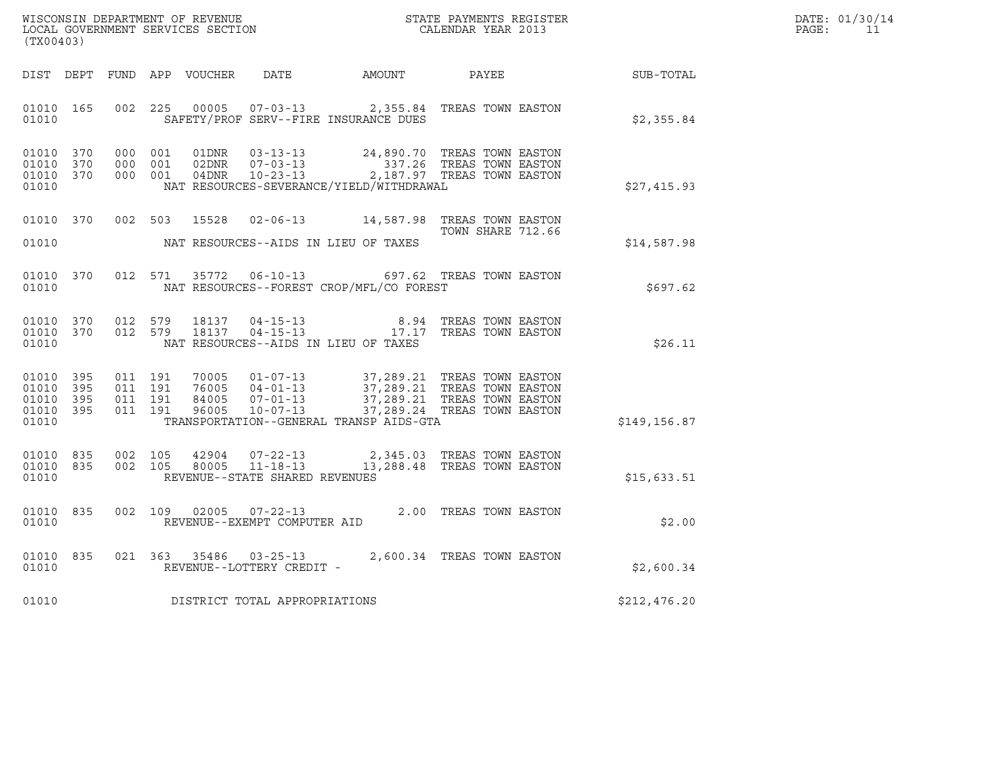| DATE: | 01/30/14 |
|-------|----------|
| PAGE: | 11       |

| (TX00403)                                                 |                                                                                                                                                                                                                                                                                    |                                         | DATE: 01/30/14<br>PAGE: 11 |
|-----------------------------------------------------------|------------------------------------------------------------------------------------------------------------------------------------------------------------------------------------------------------------------------------------------------------------------------------------|-----------------------------------------|----------------------------|
|                                                           | DIST DEPT FUND APP VOUCHER DATE AMOUNT PAYEE PAYER SUB-TOTAL                                                                                                                                                                                                                       |                                         |                            |
| 01010                                                     | 01010 165 002 225 00005 07-03-13 2,355.84 TREAS TOWN EASTON<br>SAFETY/PROF SERV--FIRE INSURANCE DUES                                                                                                                                                                               | \$2,355.84                              |                            |
| 01010 370<br>01010 370<br>01010 370<br>01010              | $\begin{tabular}{cccccc} 000 & 001 & 01DNR & 03-13-13 & & 24,890.70 & TREAS TOWN EASTON \\ 000 & 001 & 02DNR & 07-03-13 & & 337.26 & TREAS TOWN EASTON \\ 000 & 001 & 04DNR & 10-23-13 & & 2,187.97 & TREAS TOWN EASTON \end{tabular}$<br>NAT RESOURCES-SEVERANCE/YIELD/WITHDRAWAL | \$27,415.93                             |                            |
|                                                           | 01010 370 002 503 15528 02-06-13 14,587.98 TREAS TOWN EASTON<br>01010 NAT RESOURCES--AIDS IN LIEU OF TAXES                                                                                                                                                                         | <b>TOWN SHARE 712.66</b><br>\$14,587.98 |                            |
| 01010                                                     | 01010 370 012 571 35772 06-10-13 697.62 TREAS TOWN EASTON<br>NAT RESOURCES--FOREST CROP/MFL/CO FOREST                                                                                                                                                                              | \$697.62                                |                            |
| 01010 370<br>01010 370<br>01010                           | 012 579 18137 04-15-13 8.94 TREAS TOWN EASTON 012 579 18137 04-15-13 17.17 TREAS TOWN EASTON<br>NAT RESOURCES--AIDS IN LIEU OF TAXES                                                                                                                                               | \$26.11                                 |                            |
| 01010 395<br>01010 395<br>01010 395<br>01010 395<br>01010 | 011 191 70005 01-07-13 37,289.21 TREAS TOWN EASTON<br>011 191 76005 04-01-13 37,289.21 TREAS TOWN EASTON<br>011 191 84005 07-01-13 37,289.21 TREAS TOWN EASTON<br>011 191 96005 10-07-13 37,289.24 TREAS TOWN EASTON<br>TRANSPORTATION--GENERAL TRANSP AIDS-GTA                    | \$149, 156.87                           |                            |
| 01010 835<br>01010 835<br>01010                           | 002 105 42904 07-22-13 2,345.03 TREAS TOWN EASTON 002 105 80005 11-18-13 13,288.48 TREAS TOWN EASTON<br>REVENUE--STATE SHARED REVENUES                                                                                                                                             | \$15,633.51                             |                            |
| 01010<br>835<br>01010                                     | 002 109 02005 07-22-13 2.00 TREAS TOWN EASTON<br>REVENUE--EXEMPT COMPUTER AID                                                                                                                                                                                                      | \$2.00                                  |                            |
| 01010                                                     | 01010 835 021 363 35486 03-25-13 2,600.34 TREAS TOWN EASTON<br>REVENUE--LOTTERY CREDIT -                                                                                                                                                                                           | \$2,600.34                              |                            |
|                                                           | 01010 DISTRICT TOTAL APPROPRIATIONS                                                                                                                                                                                                                                                | \$212,476.20                            |                            |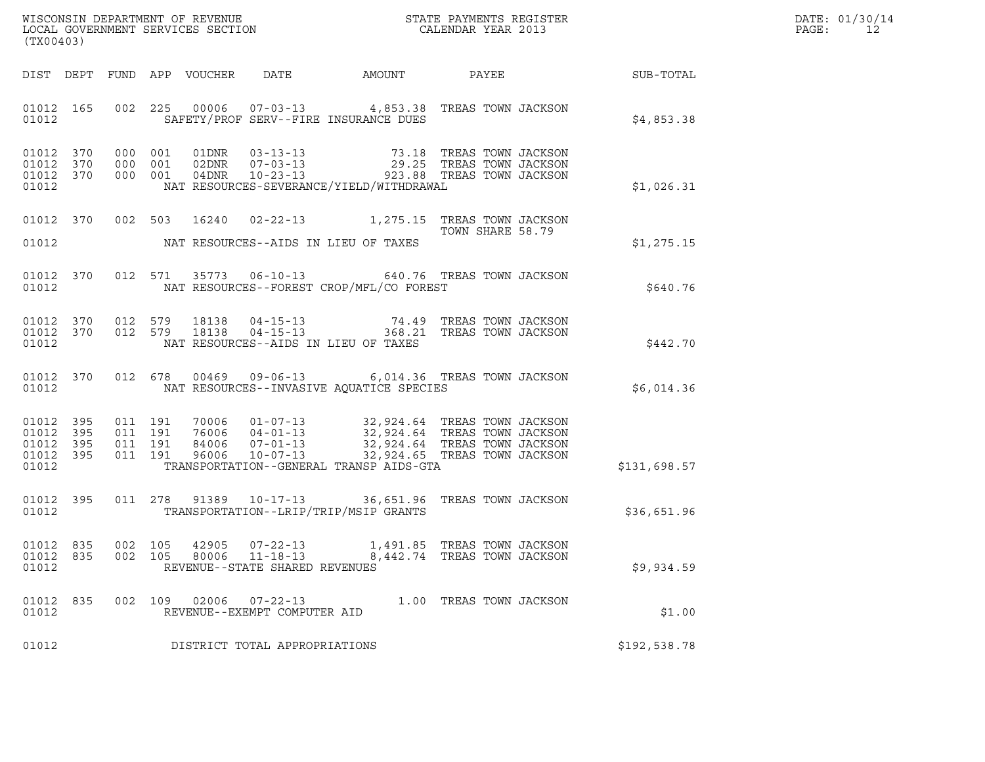| DATE: | 01/30/14 |
|-------|----------|
| PAGE: | 12       |

| (TX00403)                                                 |                                                                                                                                                                                                                                                                     | $R = \frac{1}{2}$ | DATE: 01/30/14<br>$\mathtt{PAGE}$ :<br>12 |
|-----------------------------------------------------------|---------------------------------------------------------------------------------------------------------------------------------------------------------------------------------------------------------------------------------------------------------------------|-------------------|-------------------------------------------|
|                                                           |                                                                                                                                                                                                                                                                     |                   |                                           |
| 01012                                                     | 01012 165 002 225 00006 07-03-13 4,853.38 TREAS TOWN JACKSON<br>SAFETY/PROF SERV--FIRE INSURANCE DUES                                                                                                                                                               | \$4,853.38        |                                           |
| 01012 370<br>01012 370<br>01012 370<br>01012              | 000 001 01DNR 03-13-13 73.18 TREAS TOWN JACKSON<br>000 001 02DNR 07-03-13 29.25 TREAS TOWN JACKSON<br>000 001 04DNR 10-23-13 923.88 TREAS TOWN JACKSON<br>NAT RESOURCES-SEVERANCE/YIELD/WITHDRAWAL                                                                  | \$1,026.31        |                                           |
|                                                           | 01012 370 002 503 16240 02-22-13 1,275.15 TREAS TOWN JACKSON<br>TOWN SHARE 58.79<br>01012 MAT RESOURCES--AIDS IN LIEU OF TAXES                                                                                                                                      | \$1,275.15        |                                           |
| 01012                                                     | 01012 370 012 571 35773 06-10-13 640.76 TREAS TOWN JACKSON<br>NAT RESOURCES--FOREST CROP/MFL/CO FOREST                                                                                                                                                              | \$640.76          |                                           |
| 01012                                                     | 01012 370 012 579 18138 04-15-13 74.49 TREAS TOWN JACKSON<br>01012 370 012 579 18138 04-15-13 368.21 TREAS TOWN JACKSON<br>NAT RESOURCES--AIDS IN LIEU OF TAXES                                                                                                     | \$442.70          |                                           |
|                                                           | 01012 370 012 678 00469 09-06-13 6,014.36 TREAS TOWN JACKSON<br>01012 MAT RESOURCES--INVASIVE AQUATICE SPECIES                                                                                                                                                      | \$6,014.36        |                                           |
| 01012 395<br>01012 395<br>01012 395<br>01012 395<br>01012 | 011 191 70006 01-07-13 32,924.64 TREAS TOWN JACKSON<br>011 191 76006 04-01-13 32,924.64 TREAS TOWN JACKSON<br>011 191 84006 07-01-13 32,924.64 TREAS TOWN JACKSON<br>011 191 96006 10-07-13 32,924.65 TREAS TOWN JACKSON<br>TRANSPORTATION--GENERAL TRANSP AIDS-GTA | \$131,698.57      |                                           |
| 01012 395<br>01012                                        | 011  278  91389  10-17-13  36,651.96  TREAS TOWN JACKSON<br>TRANSPORTATION--LRIP/TRIP/MSIP GRANTS                                                                                                                                                                   | \$36,651.96       |                                           |
| 01012 835<br>01012 835<br>01012                           | 105<br>42905<br>$07 - 22 - 13$<br>002<br>1,491.85 TREAS TOWN JACKSON<br>002 105<br>80006<br>$11 - 18 - 13$<br>8,442.74 TREAS TOWN JACKSON<br>REVENUE--STATE SHARED REVENUES                                                                                         | \$9,934.59        |                                           |
| 01012<br>835<br>01012                                     | 002 109 02006<br>$07 - 22 - 13$<br>1.00 TREAS TOWN JACKSON<br>REVENUE--EXEMPT COMPUTER AID                                                                                                                                                                          | \$1.00            |                                           |
| 01012                                                     | DISTRICT TOTAL APPROPRIATIONS                                                                                                                                                                                                                                       | \$192,538.78      |                                           |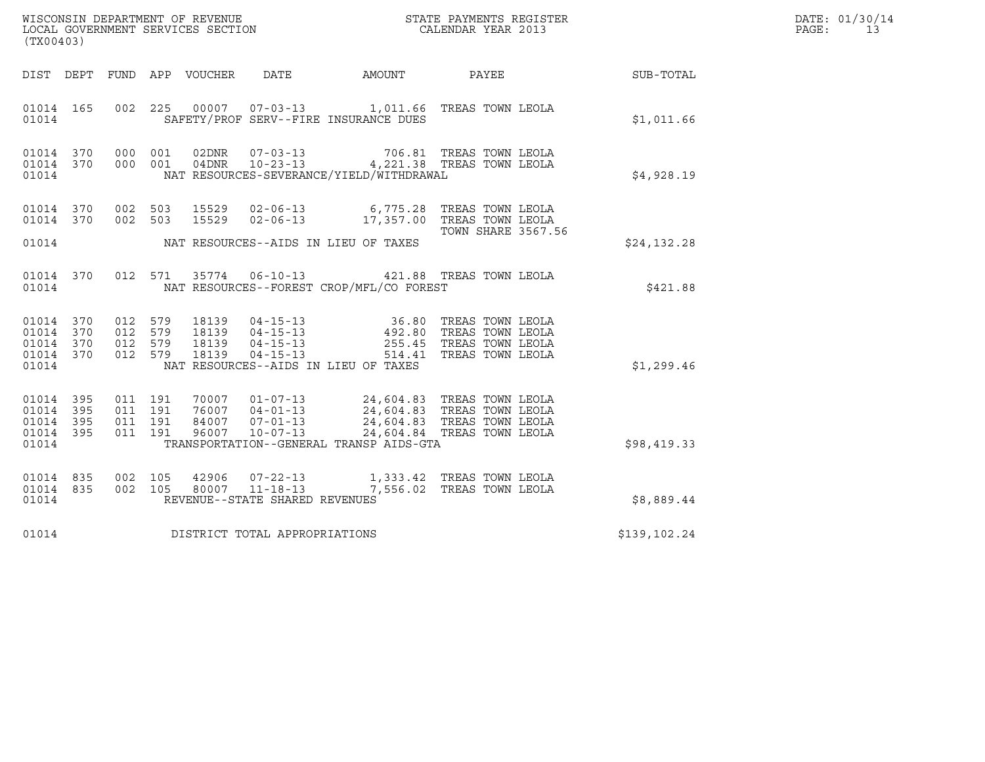|       | DATE: 01/30/14 |
|-------|----------------|
| PAGE: | 13             |

| (TX00403)                                                 |                                                                                                                                                                                                                                                                          |                                                              | R BATE: $01/30/14$<br>PAGE: $13$ |  |
|-----------------------------------------------------------|--------------------------------------------------------------------------------------------------------------------------------------------------------------------------------------------------------------------------------------------------------------------------|--------------------------------------------------------------|----------------------------------|--|
|                                                           |                                                                                                                                                                                                                                                                          | DIST DEPT FUND APP VOUCHER DATE AMOUNT PAYEE PAYEE SUB-TOTAL |                                  |  |
| 01014                                                     | 01014  165  002  225  00007  07-03-13  1,011.66  TREAS TOWN LEOLA<br>SAFETY/PROF SERV--FIRE INSURANCE DUES                                                                                                                                                               |                                                              | \$1,011.66                       |  |
| 01014                                                     | $\begin{array}{cccccccc} 01014 & 370 & 000 & 001 & 02DNR & 07-03-13 & & 706.81 & \text{TREAS TOWN} & \text{LEOLA} \\ 01014 & 370 & 000 & 001 & 04DNR & 10-23-13 & & 4,221.38 & \text{TREAS TOWN} & \text{LEOLA} \end{array}$<br>NAT RESOURCES-SEVERANCE/YIELD/WITHDRAWAL |                                                              | \$4,928.19                       |  |
|                                                           | 01014 370 002 503 15529 02-06-13 6,775.28 TREAS TOWN LEOLA<br>01014 370 002 503 15529 02-06-13 17,357.00 TREAS TOWN LEOLA<br>01014 MAT RESOURCES--AIDS IN LIEU OF TAXES                                                                                                  | <b>TOWN SHARE 3567.56</b>                                    | \$24,132.28                      |  |
|                                                           | 01014 370 012 571 35774 06-10-13 421.88 TREAS TOWN LEOLA<br>01014 NAT RESOURCES--FOREST CROP/MFL/CO FOREST                                                                                                                                                               |                                                              | \$421.88                         |  |
| 01014 370<br>01014 370<br>01014 370<br>01014 370<br>01014 | 012 579 18139 04-15-13 36.80 TREAS TOWN LEOLA<br>012 579 18139 04-15-13 492.80 TREAS TOWN LEOLA<br>012 579 18139 04-15-13 255.45 TREAS TOWN LEOLA<br>012 579 18139 04-15-13 514.41 TREAS TOWN LEOLA<br>NAT RESOURCES--AIDS IN LIEU OF TAXES                              |                                                              | \$1,299.46                       |  |
| 01014 395<br>01014 395<br>01014 395<br>01014 395<br>01014 | 011 191 70007 01-07-13 24,604.83 TREAS TOWN LEOLA<br>011 191 76007 04-01-13 24,604.83 TREAS TOWN LEOLA<br>011 191 84007 07-01-13 24,604.83 TREAS TOWN LEOLA<br>011 191 96007 10-07-13 24,604.84 TREAS TOWN LEOLA<br>TRANSPORTATION--GENERAL TRANSP AIDS-GTA              |                                                              | \$98,419.33                      |  |
| 01014 835<br>01014 835<br>01014                           | 002 105 42906 07-22-13 1,333.42 TREAS TOWN LEOLA<br>002 105 80007 11-18-13 7,556.02 TREAS TOWN LEOLA<br>REVENUE--STATE SHARED REVENUES                                                                                                                                   |                                                              | \$8,889.44                       |  |
|                                                           | 01014 DISTRICT TOTAL APPROPRIATIONS                                                                                                                                                                                                                                      |                                                              | \$139,102.24                     |  |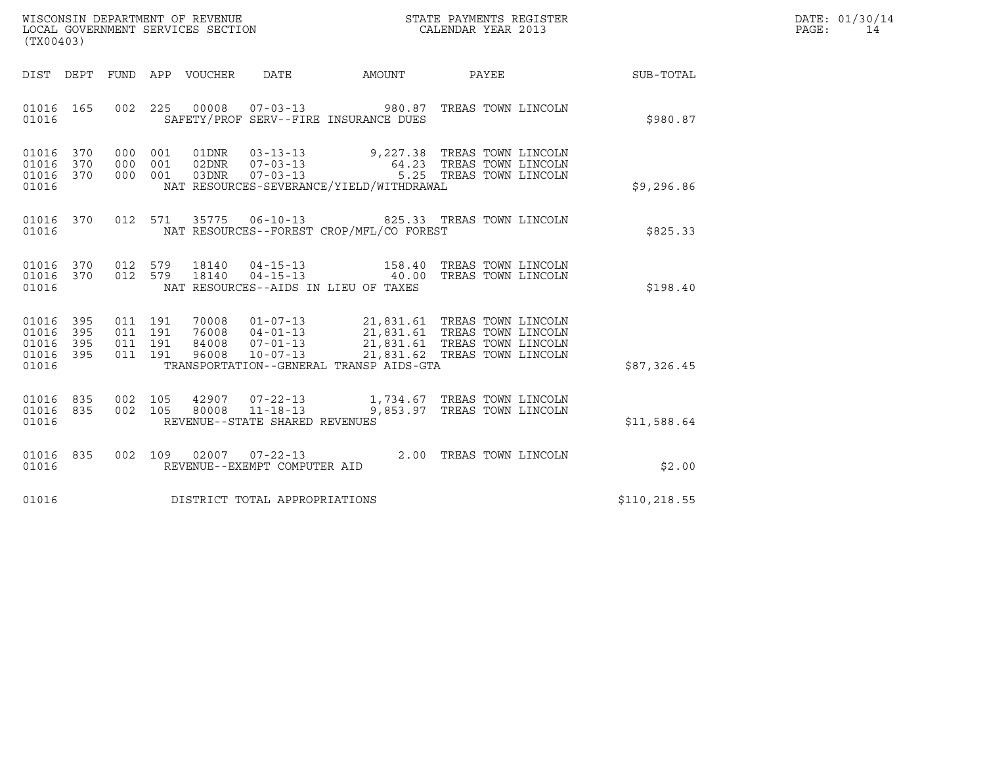| WISCONSIN DEPARTMENT OF REVENUE<br>LOCAL GOVERNMENT SERVICES SECTION<br>(TX00403) | STATE PAYMENTS REGISTER<br>CALENDAR YEAR 2013 | DATE: 01/30/14<br>PAGE: |
|-----------------------------------------------------------------------------------|-----------------------------------------------|-------------------------|

| (TX00403)                                                             |                                                      |                                                                                                                                                     |        |                                                                                                                              |              |
|-----------------------------------------------------------------------|------------------------------------------------------|-----------------------------------------------------------------------------------------------------------------------------------------------------|--------|------------------------------------------------------------------------------------------------------------------------------|--------------|
| DIST<br>DEPT                                                          | <b>FUND</b><br>APP                                   | VOUCHER<br>DATE                                                                                                                                     | AMOUNT | PAYEE                                                                                                                        | SUB-TOTAL    |
| 165<br>01016<br>01016                                                 | 225<br>002                                           | 00008<br>$07 - 03 - 13$<br>SAFETY/PROF SERV--FIRE INSURANCE DUES                                                                                    |        | 980.87 TREAS TOWN LINCOLN                                                                                                    | \$980.87     |
| 370<br>01016<br>370<br>01016<br>370<br>01016<br>01016                 | 000<br>001<br>000<br>001<br>000<br>001               | 01DNR<br>$03 - 13 - 13$<br>$07 - 03 - 13$<br>02DNR<br>03DNR<br>$07 - 03 - 13$<br>NAT RESOURCES-SEVERANCE/YIELD/WITHDRAWAL                           |        | 9,227.38 TREAS TOWN LINCOLN<br>64.23 TREAS TOWN LINCOLN<br>5.25 TREAS TOWN LINCOLN                                           | \$9,296.86   |
| 370<br>01016<br>01016                                                 | 012<br>571                                           | 35775<br>NAT RESOURCES--FOREST CROP/MFL/CO FOREST                                                                                                   |        | 06-10-13 825.33 TREAS TOWN LINCOLN                                                                                           | \$825.33     |
| 01016<br>370<br>370<br>01016<br>01016                                 | 012<br>579<br>012<br>579                             | 18140<br>$04 - 15 - 13$<br>18140<br>NAT RESOURCES--AIDS IN LIEU OF TAXES                                                                            |        | 158.40 TREAS TOWN LINCOLN<br>04-15-13 40.00 TREAS TOWN LINCOLN                                                               | \$198.40     |
| 01016<br>395<br>01016<br>395<br>395<br>01016<br>01016<br>395<br>01016 | 011<br>191<br>191<br>011<br>011<br>191<br>191<br>011 | 70008<br>$01 - 07 - 13$<br>$04 - 01 - 13$<br>$07 - 01 - 13$<br>76008<br>84008<br>96008<br>$10 - 07 - 13$<br>TRANSPORTATION--GENERAL TRANSP AIDS-GTA |        | 21,831.61 TREAS TOWN LINCOLN<br>21,831.61 TREAS TOWN LINCOLN<br>21,831.61 TREAS TOWN LINCOLN<br>21,831.62 TREAS TOWN LINCOLN | \$87,326.45  |
| 01016<br>835<br>835<br>01016<br>01016                                 | 002<br>105<br>002<br>105                             | 42907 07-22-13<br>80008 11-18-13<br>REVENUE--STATE SHARED REVENUES                                                                                  |        | 1,734.67 TREAS TOWN LINCOLN<br>9,853.97 TREAS TOWN LINCOLN                                                                   | \$11,588.64  |
| 01016<br>835<br>01016                                                 | 002<br>109                                           | 02007<br>$07 - 22 - 13$<br>REVENUE--EXEMPT COMPUTER AID                                                                                             |        | 2.00 TREAS TOWN LINCOLN                                                                                                      | \$2.00       |
| 01016                                                                 |                                                      | DISTRICT TOTAL APPROPRIATIONS                                                                                                                       |        |                                                                                                                              | \$110,218.55 |
|                                                                       |                                                      |                                                                                                                                                     |        |                                                                                                                              |              |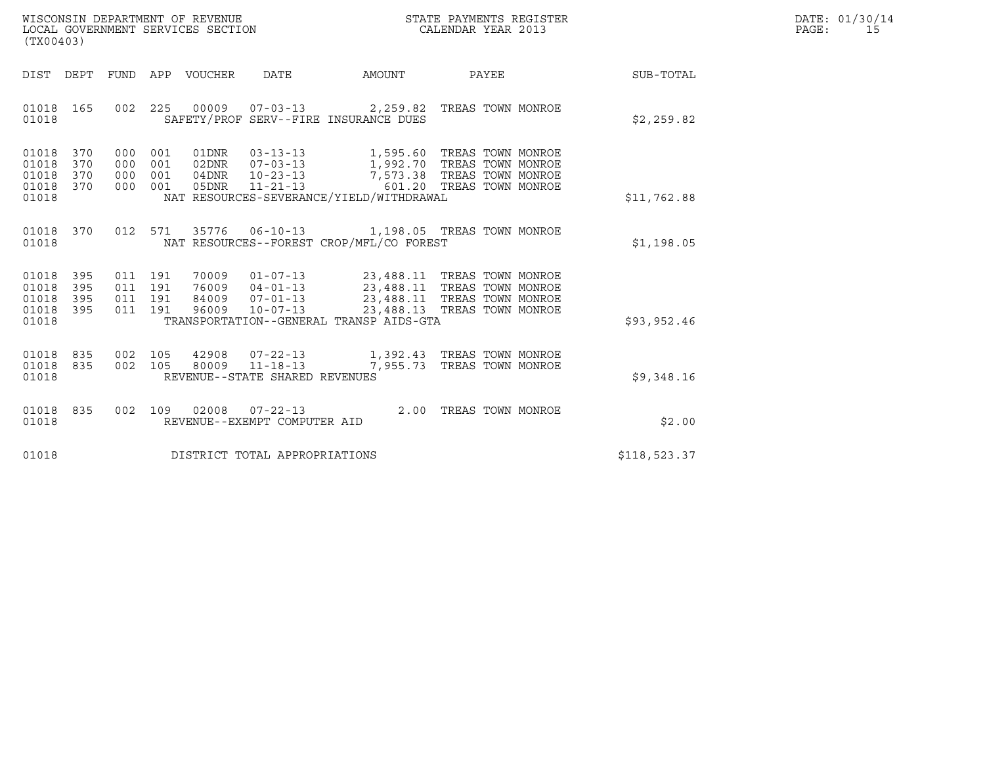| WISCONSIN DEPARTMENT OF REVENUE   | STATE PAYMENTS REGISTER | DATE: 01/30/14 |
|-----------------------------------|-------------------------|----------------|
| LOCAL GOVERNMENT SERVICES SECTION | CALENDAR YEAR 2013      | PAGE:          |

| WISCONSIN DEPARTMENT OF REVENUE<br>LOCAL GOVERNMENT SERVICES SECTION<br>(TX00403)                                   | STATE PAYMENTS REGISTER<br>CALENDAR YEAR 2013                                                          |              | DATE: 01/30/14<br>PAGE:<br>15 |
|---------------------------------------------------------------------------------------------------------------------|--------------------------------------------------------------------------------------------------------|--------------|-------------------------------|
| DIST DEPT FUND APP VOUCHER DATE                                                                                     | AMOUNT PAYEE SUB-TOTAL                                                                                 |              |                               |
| 01018 165<br>SAFETY/PROF SERV--FIRE INSURANCE DUES<br>01018                                                         | 002  225  00009  07-03-13  2,259.82  TREAS TOWN MONROE                                                 | \$2,259.82   |                               |
| 01018 370<br>01018<br>370<br>01018 370<br>01018 370<br>NAT RESOURCES-SEVERANCE/YIELD/WITHDRAWAL<br>01018            |                                                                                                        | \$11,762.88  |                               |
| 012 571 35776 06-10-13 1,198.05 TREAS TOWN MONROE<br>01018 370<br>NAT RESOURCES--FOREST CROP/MFL/CO FOREST<br>01018 |                                                                                                        | \$1,198.05   |                               |
| 01018<br>395<br>395<br>01018<br>01018 395<br>01018 395<br>TRANSPORTATION--GENERAL TRANSP AIDS-GTA<br>01018          |                                                                                                        | \$93,952.46  |                               |
| 01018 835<br>01018 835<br>REVENUE--STATE SHARED REVENUES<br>01018                                                   | 002 105 42908 07-22-13 1,392.43 TREAS TOWN MONROE<br>002 105 80009 11-18-13 7,955.73 TREAS TOWN MONROE | \$9,348.16   |                               |
| 01018 835<br>REVENUE--EXEMPT COMPUTER AID<br>01018                                                                  | 002 109 02008 07-22-13 2.00 TREAS TOWN MONROE                                                          | \$2.00       |                               |
| DISTRICT TOTAL APPROPRIATIONS<br>01018                                                                              |                                                                                                        | \$118,523.37 |                               |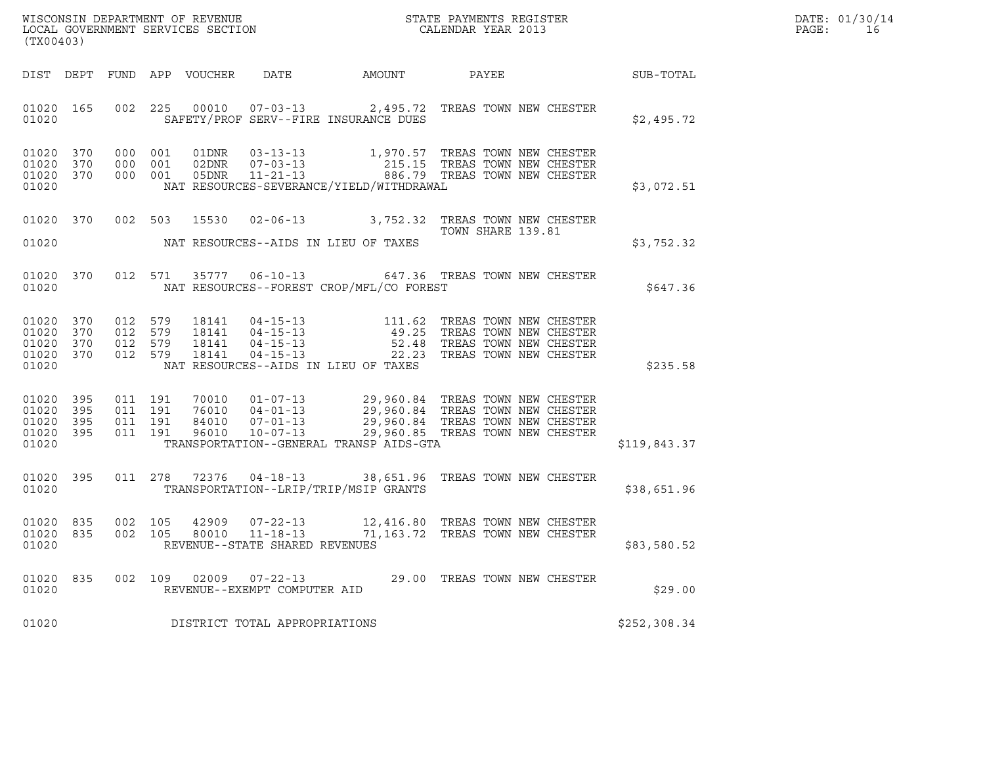|       | DATE: 01/30/14 |
|-------|----------------|
| PAGE: | 16             |

| % WISCONSIN DEPARTMENT OF REVENUE $$\tt STATE~PAYMEMTS~REGISTER~LOCAL~GOVERNMENT~SERVICES~SECTION~CALENDAR~YEAR~2013$<br>(TX00403) |           |                |                                          |                            |                                                                    |                                                                                                                                                                                                                                                                                                                                                                                                                                                                                          |                                  |  | DATE: 01/30/14<br>PAGE:<br>16 |  |
|------------------------------------------------------------------------------------------------------------------------------------|-----------|----------------|------------------------------------------|----------------------------|--------------------------------------------------------------------|------------------------------------------------------------------------------------------------------------------------------------------------------------------------------------------------------------------------------------------------------------------------------------------------------------------------------------------------------------------------------------------------------------------------------------------------------------------------------------------|----------------------------------|--|-------------------------------|--|
|                                                                                                                                    |           |                |                                          | DIST DEPT FUND APP VOUCHER | DATE                                                               | AMOUNT                                                                                                                                                                                                                                                                                                                                                                                                                                                                                   | PAYEE                            |  | <b>SUB-TOTAL</b>              |  |
| 01020                                                                                                                              | 01020 165 |                |                                          |                            |                                                                    | 002 225 00010 07-03-13 2,495.72 TREAS TOWN NEW CHESTER<br>SAFETY/PROF SERV--FIRE INSURANCE DUES                                                                                                                                                                                                                                                                                                                                                                                          |                                  |  | \$2,495.72                    |  |
| 01020 370<br>01020 370<br>01020 370<br>01020                                                                                       |           |                | 000 001<br>000 001                       | 000 001 05DNR              |                                                                    | NAT RESOURCES-SEVERANCE/YIELD/WITHDRAWAL                                                                                                                                                                                                                                                                                                                                                                                                                                                 |                                  |  | \$3,072.51                    |  |
| 01020                                                                                                                              | 01020 370 |                |                                          |                            |                                                                    | 002 503 15530 02-06-13 3,752.32 TREAS TOWN NEW CHESTER<br>NAT RESOURCES--AIDS IN LIEU OF TAXES                                                                                                                                                                                                                                                                                                                                                                                           | TOWN SHARE 139.81                |  | \$3,752.32                    |  |
| 01020                                                                                                                              | 01020 370 |                | 012 571                                  |                            |                                                                    | 35777  06-10-13  647.36  TREAS TOWN NEW CHESTER<br>NAT RESOURCES--FOREST CROP/MFL/CO FOREST                                                                                                                                                                                                                                                                                                                                                                                              |                                  |  | \$647.36                      |  |
| 01020 370<br>01020 370<br>01020 370<br>01020 370<br>01020                                                                          |           |                | 012 579<br>012 579<br>012 579<br>012 579 | 18141                      |                                                                    | $\begin{tabular}{c c c c c c c c c c} \multicolumn{1}{c}{\textbf{18141}} & \multicolumn{1}{c}{\textbf{04-15-13}} & \multicolumn{1}{c}{\textbf{111.62}} & \multicolumn{1}{c}{\textbf{TREAS} & \textbf{TOWN NEW CHECK} \\ \multicolumn{1}{c}{\textbf{18141}} & \multicolumn{1}{c}{\textbf{04-15-13}} & \multicolumn{1}{c}{\textbf{49.25}} & \multicolumn{1}{c}{\textbf{TREAS} & \textbf{TOWN NEW CHECK} \\ \multicolumn{1}{c}{\textbf{18141}} & \$<br>NAT RESOURCES--AIDS IN LIEU OF TAXES |                                  |  | \$235.58                      |  |
| 01020 395<br>01020<br>01020 395<br>01020 395<br>01020                                                                              | 395       | 011 191        | 011 191<br>011 191<br>011 191            |                            |                                                                    | $\begin{tabular}{cccc} 70010 & 01-07-13 & 29,960.84 & TREAS TOWN NEW CHECK \\ 76010 & 04-01-13 & 29,960.84 TREAS TOWN NEW CHECK \\ 84010 & 07-01-13 & 29,960.84 TREAS TOWN NEW CHECK \\ 96010 & 10-07-13 & 29,960.85 TREAS TOWN NEW CHECK \\ \end{tabular}$<br>TRANSPORTATION--GENERAL TRANSP AIDS-GTA                                                                                                                                                                                   |                                  |  | \$119,843.37                  |  |
| 01020 395<br>01020                                                                                                                 |           |                |                                          |                            |                                                                    | 011 278 72376 04-18-13 38,651.96 TREAS TOWN NEW CHESTER<br>TRANSPORTATION--LRIP/TRIP/MSIP GRANTS                                                                                                                                                                                                                                                                                                                                                                                         |                                  |  | \$38,651.96                   |  |
| 01020<br>01020 835<br>01020                                                                                                        | 835       | 002<br>002 105 | 105                                      | 42909<br>80010             | $07 - 22 - 13$<br>$11 - 18 - 13$<br>REVENUE--STATE SHARED REVENUES | 12,416.80 TREAS TOWN NEW CHESTER                                                                                                                                                                                                                                                                                                                                                                                                                                                         | 71,163.72 TREAS TOWN NEW CHESTER |  | \$83,580.52                   |  |
| 01020<br>01020                                                                                                                     | 835       | 002            | 109                                      |                            | 02009 07-22-13<br>REVENUE--EXEMPT COMPUTER AID                     |                                                                                                                                                                                                                                                                                                                                                                                                                                                                                          | 29.00 TREAS TOWN NEW CHESTER     |  | \$29.00                       |  |
| 01020                                                                                                                              |           |                |                                          |                            | DISTRICT TOTAL APPROPRIATIONS                                      |                                                                                                                                                                                                                                                                                                                                                                                                                                                                                          |                                  |  | \$252,308.34                  |  |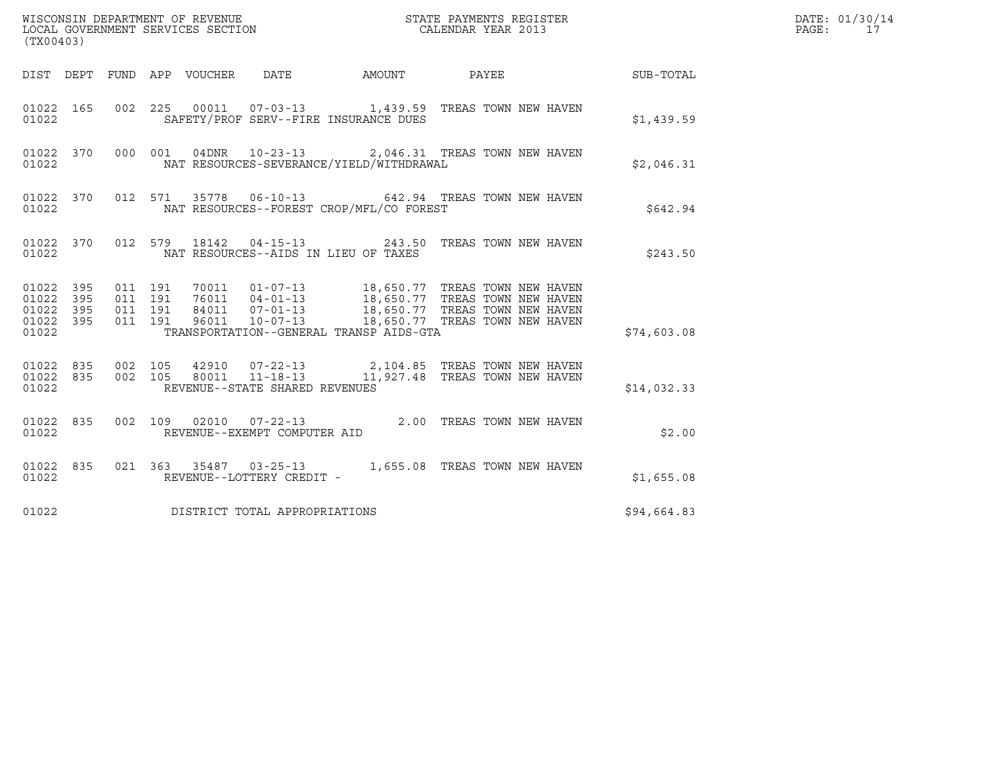| (TX00403)                                                 |  |                                          |                                                                                                                                                 |                                          |  |  |  |                        | DATE: 01/30/14<br>PAGE:<br>17 |
|-----------------------------------------------------------|--|------------------------------------------|-------------------------------------------------------------------------------------------------------------------------------------------------|------------------------------------------|--|--|--|------------------------|-------------------------------|
|                                                           |  |                                          | DIST DEPT FUND APP VOUCHER DATE                                                                                                                 |                                          |  |  |  | AMOUNT PAYEE SUB-TOTAL |                               |
| 01022 165<br>01022                                        |  |                                          | 002 225 00011 07-03-13 1,439.59 TREAS TOWN NEW HAVEN                                                                                            | SAFETY/PROF SERV--FIRE INSURANCE DUES    |  |  |  | \$1,439.59             |                               |
| 01022 370<br>01022                                        |  |                                          | 000 001 04DNR 10-23-13 2,046.31 TREAS TOWN NEW HAVEN                                                                                            | NAT RESOURCES-SEVERANCE/YIELD/WITHDRAWAL |  |  |  | \$2,046.31             |                               |
| 01022                                                     |  |                                          | 01022 370 012 571 35778 06-10-13 642.94 TREAS TOWN NEW HAVEN                                                                                    | NAT RESOURCES--FOREST CROP/MFL/CO FOREST |  |  |  | \$642.94               |                               |
| 01022                                                     |  |                                          | 01022 370 012 579 18142 04-15-13 243.50 TREAS TOWN NEW HAVEN                                                                                    | NAT RESOURCES--AIDS IN LIEU OF TAXES     |  |  |  | \$243.50               |                               |
| 01022 395<br>01022 395<br>01022 395<br>01022 395<br>01022 |  | 011 191<br>011 191<br>011 191<br>011 191 |                                                                                                                                                 | TRANSPORTATION--GENERAL TRANSP AIDS-GTA  |  |  |  | \$74,603.08            |                               |
| 01022 835<br>01022                                        |  | 01022 835 002 105                        | 002 105 42910 07-22-13 2,104.85 TREAS TOWN NEW HAVEN<br>002 105 80011 11-18-13 11,927.48 TREAS TOWN NEW HAVEN<br>REVENUE--STATE SHARED REVENUES |                                          |  |  |  | \$14,032.33            |                               |
| 01022 835<br>01022                                        |  |                                          | 002 109 02010 07-22-13 2.00 TREAS TOWN NEW HAVEN                                                                                                | REVENUE--EXEMPT COMPUTER AID             |  |  |  | \$2.00                 |                               |
| 01022 835<br>01022                                        |  |                                          | 021 363 35487 03-25-13 1,655.08 TREAS TOWN NEW HAVEN                                                                                            | REVENUE--LOTTERY CREDIT -                |  |  |  | \$1,655.08             |                               |
| 01022                                                     |  |                                          | DISTRICT TOTAL APPROPRIATIONS                                                                                                                   |                                          |  |  |  | \$94,664.83            |                               |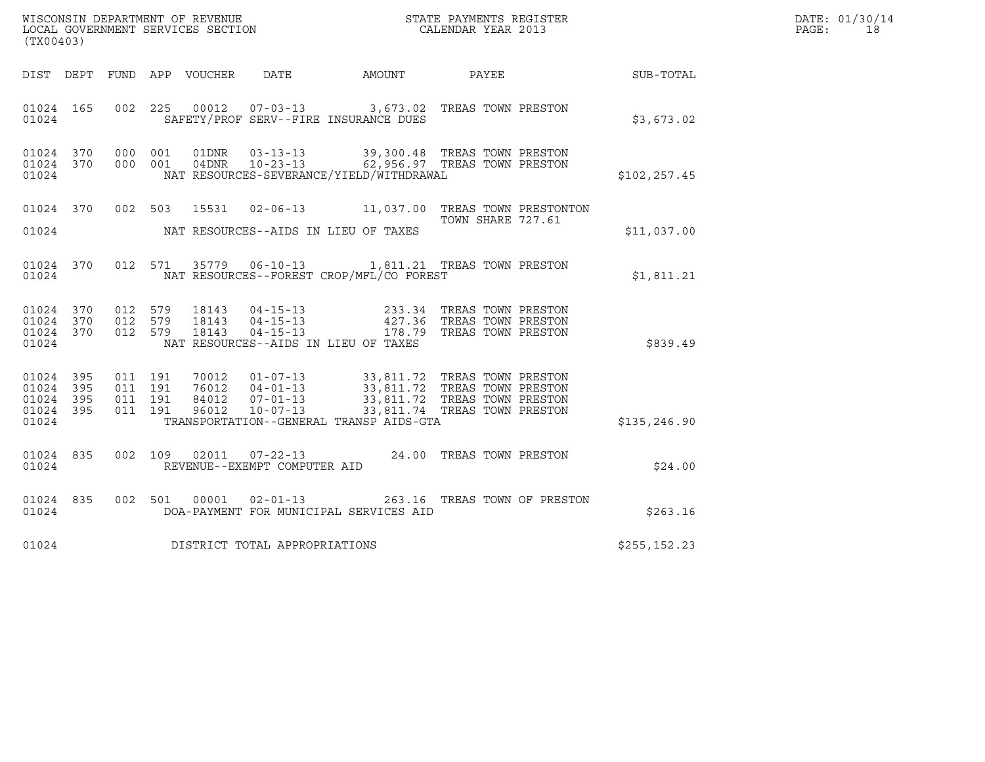|       | DATE: 01/30/14 |
|-------|----------------|
| PAGE: | 1 R            |

| (TX00403)                                                 |  |                               |         |                                      |                                                                                                                                                                                                                                                                                                                                                                                                                                 |                              | DATE: 01/30/14<br>$\mathtt{PAGE}$ :<br>18 |  |
|-----------------------------------------------------------|--|-------------------------------|---------|--------------------------------------|---------------------------------------------------------------------------------------------------------------------------------------------------------------------------------------------------------------------------------------------------------------------------------------------------------------------------------------------------------------------------------------------------------------------------------|------------------------------|-------------------------------------------|--|
|                                                           |  |                               |         |                                      | DIST DEPT FUND APP VOUCHER DATE AMOUNT PAYEE                                                                                                                                                                                                                                                                                                                                                                                    |                              | SUB-TOTAL                                 |  |
| 01024 165<br>01024                                        |  |                               |         |                                      | 002  225  00012  07-03-13  3,673.02  TREAS TOWN PRESTON<br>SAFETY/PROF SERV--FIRE INSURANCE DUES                                                                                                                                                                                                                                                                                                                                |                              | \$3,673.02                                |  |
| 01024 370 000 001<br>01024 370<br>01024                   |  | 000 001                       |         |                                      | 01DNR  03-13-13  39,300.48 TREAS TOWN PRESTON<br>04DNR  10-23-13  62,956.97 TREAS TOWN PRESTON<br>NAT RESOURCES-SEVERANCE/YIELD/WITHDRAWAL                                                                                                                                                                                                                                                                                      |                              | \$102,257.45                              |  |
| 01024                                                     |  |                               |         | NAT RESOURCES--AIDS IN LIEU OF TAXES | 01024 370 002 503 15531 02-06-13 11,037.00 TREAS TOWN PRESTONTON                                                                                                                                                                                                                                                                                                                                                                | TOWN SHARE 727.61            | \$11,037.00                               |  |
| 01024 370<br>01024                                        |  |                               |         |                                      | 012 571 35779 06-10-13 1,811.21 TREAS TOWN PRESTON<br>NAT RESOURCES--FOREST CROP/MFL/CO FOREST                                                                                                                                                                                                                                                                                                                                  |                              | \$1,811.21                                |  |
| 01024 370<br>01024 370<br>01024 370<br>01024              |  | 012 579<br>012 579<br>012 579 |         | NAT RESOURCES--AIDS IN LIEU OF TAXES | 18143  04-15-13  233.34  TREAS TOWN PRESTON<br>18143  04-15-13  427.36  TREAS TOWN PRESTON<br>18143  04-15-13  178.79  TREAS TOWN PRESTON                                                                                                                                                                                                                                                                                       |                              | \$839.49                                  |  |
| 01024 395<br>01024 395<br>01024 395<br>01024 395<br>01024 |  | 011 191<br>011 191<br>011 191 | 011 191 |                                      | $\begin{tabular}{c c c c c c c c c c} \hline $\gamma$0012 & 01-07-13 & 33,811.72 \quad \text{TREAS} & \text{TOWN} & \text{PRESTON} \\ \hline $76012 & 04-01-13 & 33,811.72 \quad \text{TREAS} & \text{TOWN} & \text{PRESTON} \\ $84012 & 07-01-13 & 33,811.72 \quad \text{TREAS} & \text{TOWN} & \text{PRESTON} \\ $96012 & 10-07-13 & 33,811.74 \quad \text{TREAS} & \text{TOWN} &$<br>TRANSPORTATION--GENERAL TRANSP AIDS-GTA |                              | \$135, 246.90                             |  |
| 01024 835<br>01024                                        |  |                               |         | REVENUE--EXEMPT COMPUTER AID         | 002 109 02011 07-22-13 24.00 TREAS TOWN PRESTON                                                                                                                                                                                                                                                                                                                                                                                 |                              | \$24.00                                   |  |
| 01024 835<br>01024                                        |  |                               |         | 002 501 00001 02-01-13               | DOA-PAYMENT FOR MUNICIPAL SERVICES AID                                                                                                                                                                                                                                                                                                                                                                                          | 263.16 TREAS TOWN OF PRESTON | \$263.16                                  |  |
| 01024                                                     |  |                               |         | DISTRICT TOTAL APPROPRIATIONS        |                                                                                                                                                                                                                                                                                                                                                                                                                                 |                              | \$255, 152.23                             |  |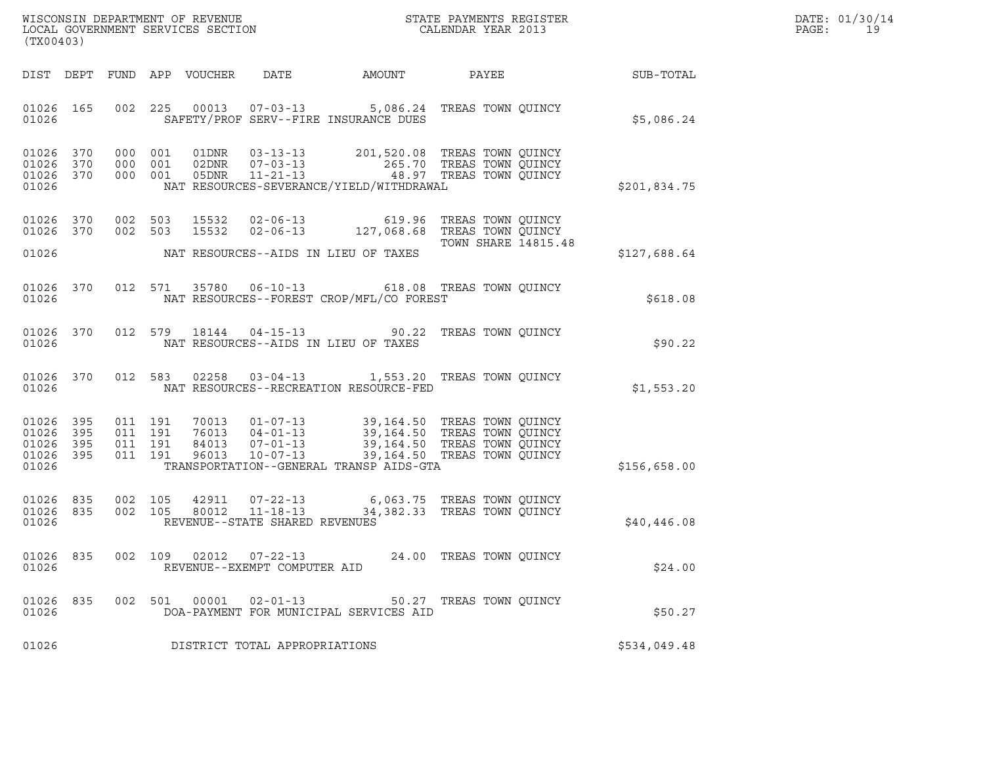| DATE: | 01/30/14 |
|-------|----------|
| PAGE: | 19       |

| (TX00403)                                         |            |                                          |                            |                                                |                                                                                                                                                                                          |                                                            |                 | DATE: 01/30/14<br>PAGE:<br>19 |
|---------------------------------------------------|------------|------------------------------------------|----------------------------|------------------------------------------------|------------------------------------------------------------------------------------------------------------------------------------------------------------------------------------------|------------------------------------------------------------|-----------------|-------------------------------|
|                                                   |            |                                          | DIST DEPT FUND APP VOUCHER | DATE                                           | AMOUNT                                                                                                                                                                                   |                                                            | PAYEE SUB-TOTAL |                               |
| 01026 165<br>01026                                |            | 002 225                                  |                            |                                                | 00013  07-03-13  5,086.24  TREAS TOWN QUINCY<br>SAFETY/PROF SERV--FIRE INSURANCE DUES                                                                                                    |                                                            | \$5,086.24      |                               |
| 01026 370<br>01026<br>01026 370<br>01026          | 370        | 000 001<br>000 001<br>000 001            |                            |                                                | 01DNR  03-13-13  201,520.08 TREAS TOWN QUINCY<br>02DNR  07-03-13  265.70 TREAS TOWN QUINCY<br>05DNR  11-21-13  48.97 TREAS TOWN QUINCY<br>NAT RESOURCES-SEVERANCE/YIELD/WITHDRAWAL       |                                                            | \$201,834.75    |                               |
| 01026 370<br>01026 370<br>01026                   |            | 002 503<br>002 503                       | 15532<br>15532             |                                                | 02-06-13 619.96 TREAS TOWN QUINCY<br>02-06-13 127,068.68 TREAS TOWN QUINCY<br>NAT RESOURCES--AIDS IN LIEU OF TAXES                                                                       | TOWN SHARE 14815.48                                        | \$127,688.64    |                               |
| 01026 370<br>01026                                |            |                                          |                            |                                                | 012 571 35780 06-10-13 618.08 TREAS TOWN QUINCY<br>NAT RESOURCES--FOREST CROP/MFL/CO FOREST                                                                                              |                                                            | \$618.08        |                               |
| 01026 370<br>01026                                |            | 012 579                                  |                            |                                                | 18144  04-15-13  90.22  TREAS TOWN QUINCY<br>NAT RESOURCES--AIDS IN LIEU OF TAXES                                                                                                        |                                                            | \$90.22         |                               |
| 01026 370<br>01026                                |            | 012 583                                  |                            |                                                | 02258  03-04-13  1,553.20 TREAS TOWN QUINCY<br>NAT RESOURCES--RECREATION RESOURCE-FED                                                                                                    |                                                            | \$1,553.20      |                               |
| 01026 395<br>01026<br>01026<br>01026 395<br>01026 | 395<br>395 | 011 191<br>011 191<br>011 191<br>011 191 | 96013                      | 84013 07-01-13<br>$10 - 07 - 13$               | 70013  01-07-13  39,164.50  TREAS TOWN QUINCY<br>76013  04-01-13  39,164.50 TREAS TOWN QUINCY<br>84013  07-01-13  39,164.50 TREAS TOWN OUINCY<br>TRANSPORTATION--GENERAL TRANSP AIDS-GTA | 39,164.50 TREAS TOWN QUINCY<br>39,164.50 TREAS TOWN QUINCY | \$156,658.00    |                               |
| 01026<br>01026 835<br>01026                       | 835        | 002 105<br>002 105                       | 42911<br>80012             | REVENUE--STATE SHARED REVENUES                 |                                                                                                                                                                                          |                                                            | \$40,446.08     |                               |
| 01026<br>01026                                    | 835<br>002 | 109                                      | 02012                      | $07 - 22 - 13$<br>REVENUE--EXEMPT COMPUTER AID |                                                                                                                                                                                          | 24.00 TREAS TOWN QUINCY                                    | \$24.00         |                               |
| 01026<br>01026                                    | 835        | 002 501                                  | 00001                      | $02 - 01 - 13$                                 | DOA-PAYMENT FOR MUNICIPAL SERVICES AID                                                                                                                                                   | 50.27 TREAS TOWN QUINCY                                    | \$50.27         |                               |
| 01026                                             |            |                                          |                            | DISTRICT TOTAL APPROPRIATIONS                  |                                                                                                                                                                                          |                                                            | \$534,049.48    |                               |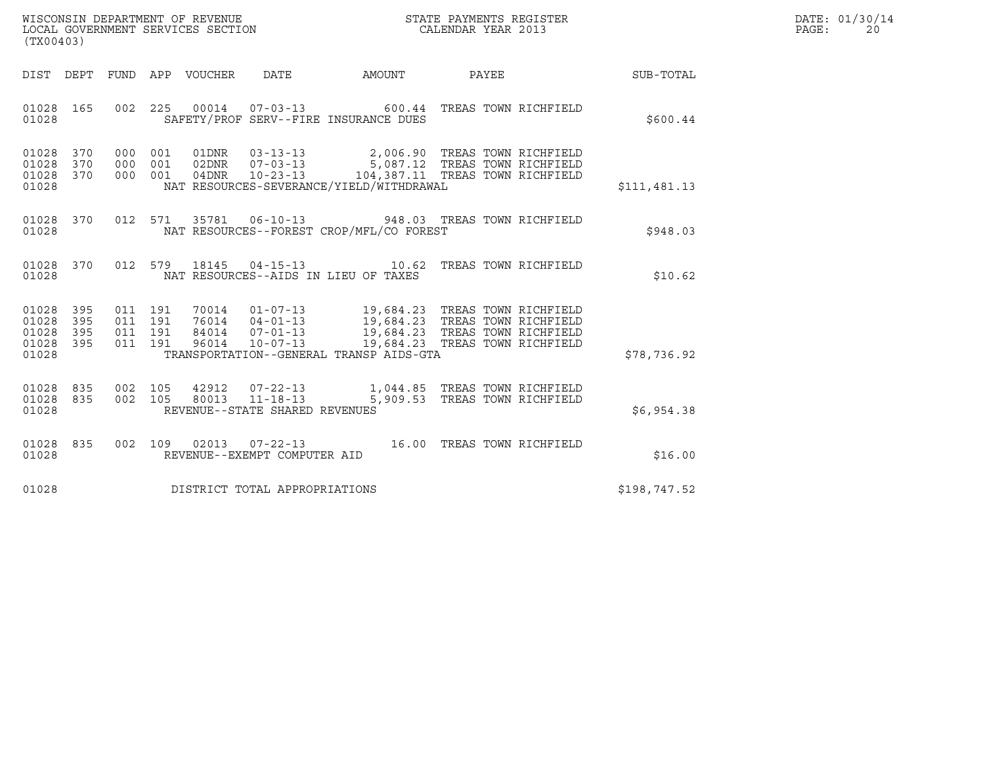| WISCONSIN DEPARTMENT OF REVENUE   | STATE PAYMENTS REGISTER | DATE: 01/30/14 |
|-----------------------------------|-------------------------|----------------|
| LOCAL GOVERNMENT SERVICES SECTION | CALENDAR YEAR 2013      | PAGE:          |

| WISCONSIN DEPARTMENT OF REVENUE<br>LOCAL GOVERNMENT SERVICES SECTION<br>CALENDAR YEAR 2013<br>(TX00403)                                                                                                                                                                                                                                     |  |              | DATE: 01/30/14<br>PAGE:<br>20 |
|---------------------------------------------------------------------------------------------------------------------------------------------------------------------------------------------------------------------------------------------------------------------------------------------------------------------------------------------|--|--------------|-------------------------------|
| DIST DEPT FUND APP VOUCHER DATE AMOUNT PAYEE SUB-TOTAL                                                                                                                                                                                                                                                                                      |  |              |                               |
| 002 225 00014 07-03-13 600.44 TREAS TOWN RICHFIELD<br>01028 165<br>SAFETY/PROF SERV--FIRE INSURANCE DUES<br>01028                                                                                                                                                                                                                           |  | \$600.44     |                               |
| 000 001 01DNR 03-13-13 2,006.90 TREAS TOWN RICHFIELD<br>000 001 02DNR 07-03-13 5,087.12 TREAS TOWN RICHFIELD<br>000 001 04DNR 10-23-13 104,387.11 TREAS TOWN RICHFIELD<br>01028 370<br>01028 370<br>01028 370<br>NAT RESOURCES-SEVERANCE/YIELD/WITHDRAWAL<br>01028                                                                          |  | \$111,481.13 |                               |
| 012 571 35781 06-10-13 948.03 TREAS TOWN RICHFIELD<br>01028 370<br>NAT RESOURCES--FOREST CROP/MFL/CO FOREST<br>01028                                                                                                                                                                                                                        |  | \$948.03     |                               |
| 01028 370 012 579 18145 04-15-13 10.62 TREAS TOWN RICHFIELD<br>01028<br>NAT RESOURCES--AIDS IN LIEU OF TAXES                                                                                                                                                                                                                                |  | \$10.62      |                               |
| 011 191 70014 01-07-13 19,684.23 TREAS TOWN RICHFIELD<br>011 191 76014 04-01-13 19,684.23 TREAS TOWN RICHFIELD<br>011 191 84014 07-01-13 19,684.23 TREAS TOWN RICHFIELD<br>011 191 96014 10-07-13 19,684.23 TREAS TOWN RICHFIELD<br>01028 395<br>01028 395<br>01028<br>395<br>01028 395<br>01028<br>TRANSPORTATION--GENERAL TRANSP AIDS-GTA |  | \$78,736.92  |                               |
| 01028 835<br>002 105 42912 07-22-13 1,044.85 TREAS TOWN RICHFIELD<br>002 105 80013 11-18-13 5,909.53 TREAS TOWN RICHFIELD<br>01028 835<br>01028<br>REVENUE--STATE SHARED REVENUES                                                                                                                                                           |  | \$6,954.38   |                               |
| 01028 835 002 109 02013 07-22-13 16.00 TREAS TOWN RICHFIELD 01028 REVENUE--EXEMPT COMPUTER AID                                                                                                                                                                                                                                              |  | \$16.00      |                               |
| DISTRICT TOTAL APPROPRIATIONS<br>01028                                                                                                                                                                                                                                                                                                      |  | \$198,747.52 |                               |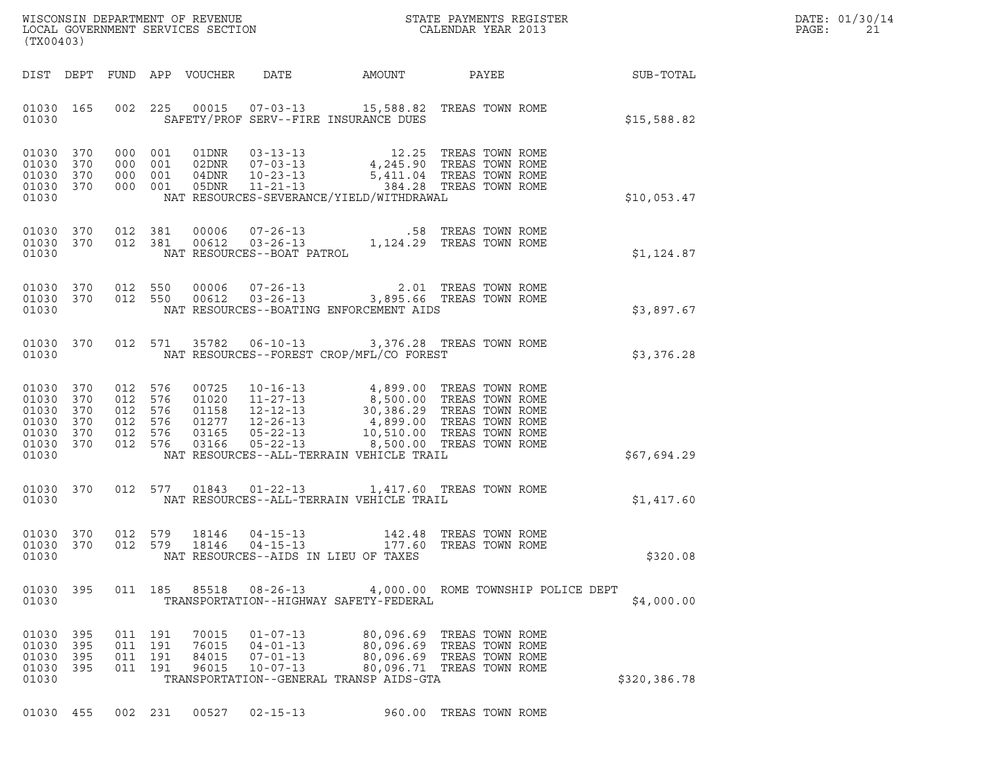|       | DATE: 01/30/14 |
|-------|----------------|
| PAGE: | 21             |

| (TX00403)                                                                                    |                                          |                                                                                                                                                                                                                                                                                                                           |                                                                                                                                                                                                                                            |                                                                                     |              | DATE: 01/30/14<br>PAGE:<br>21 |
|----------------------------------------------------------------------------------------------|------------------------------------------|---------------------------------------------------------------------------------------------------------------------------------------------------------------------------------------------------------------------------------------------------------------------------------------------------------------------------|--------------------------------------------------------------------------------------------------------------------------------------------------------------------------------------------------------------------------------------------|-------------------------------------------------------------------------------------|--------------|-------------------------------|
|                                                                                              |                                          |                                                                                                                                                                                                                                                                                                                           |                                                                                                                                                                                                                                            |                                                                                     |              |                               |
| 01030 165<br>01030                                                                           |                                          | 002 225 00015 07-03-13 15,588.82 TREAS TOWN ROME<br>SAFETY/PROF SERV--FIRE INSURANCE DUES                                                                                                                                                                                                                                 |                                                                                                                                                                                                                                            |                                                                                     | \$15,588.82  |                               |
| 01030 370<br>01030<br>370<br>01030 370<br>01030 370<br>01030                                 |                                          | $\begin{tabular}{cccc} 000 & 001 & 01DNR & 03-13-13 & 12.25 TREAS TOWN ROME \\ 000 & 001 & 02DNR & 07-03-13 & 4,245.90 TREAS TOWN ROME \\ 000 & 001 & 04DNR & 10-23-13 & 5,411.04 TREAS TOWN ROME \\ 000 & 001 & 05DNR & 11-21-13 & .384.28 TREAS TOWN ROME \\ \end{tabular}$<br>NAT RESOURCES-SEVERANCE/YIELD/WITHDRAWAL |                                                                                                                                                                                                                                            |                                                                                     | \$10,053.47  |                               |
| 01030 370<br>01030 370<br>01030                                                              |                                          | 012 381 00006 07-26-13 .58 TREAS TOWN ROME<br>012 381 00612 03-26-13 1,124.29 TREAS TOWN ROME<br>NAT RESOURCES--BOAT PATROL                                                                                                                                                                                               |                                                                                                                                                                                                                                            |                                                                                     | \$1,124.87   |                               |
| 01030 370<br>01030 370<br>01030                                                              |                                          | 012 550 00006 07-26-13 2.01 TREAS TOWN ROME<br>012 550 00612 03-26-13 3,895.66 TREAS TOWN ROME<br>NAT RESOURCES--BOATING ENFORCEMENT AIDS                                                                                                                                                                                 |                                                                                                                                                                                                                                            |                                                                                     | \$3,897.67   |                               |
| 01030 370<br>01030                                                                           |                                          | 012 571 35782 06-10-13 3,376.28 TREAS TOWN ROME<br>NAT RESOURCES--FOREST CROP/MFL/CO FOREST                                                                                                                                                                                                                               |                                                                                                                                                                                                                                            |                                                                                     | \$3,376.28   |                               |
| 01030 370<br>01030<br>370<br>01030<br>370<br>01030<br>370<br>01030 370<br>01030 370<br>01030 | 012 576<br>012 576<br>012 576<br>012 576 | 00725<br>01020<br>01158<br>01277<br>012 576 03165<br>012 576 03166<br>NAT RESOURCES--ALL-TERRAIN VEHICLE TRAIL                                                                                                                                                                                                            | 10-16-13<br>11-27-13<br>12-12-13<br>12-26-13<br>5500.00 TREAS TOWN ROME<br>12-26-13<br>4,899.00 TREAS TOWN ROME<br>05-22-13<br>10,510.00 TREAS TOWN ROME<br>05-22-13<br>10,510.00 TREAS TOWN ROME<br>05-22-13<br>10,510.00 TREAS TOWN ROME |                                                                                     | \$67,694.29  |                               |
| 01030                                                                                        |                                          | 01030 370 012 577 01843 01-22-13 1,417.60 TREAS TOWN ROME<br>NAT RESOURCES--ALL-TERRAIN VEHICLE TRAIL                                                                                                                                                                                                                     |                                                                                                                                                                                                                                            |                                                                                     | \$1,417.60   |                               |
| 01030 370<br>01030                                                                           |                                          | 01030 370 012 579 18146 04-15-13 142.48 TREAS TOWN ROME<br>012 579 18146 04-15-13 177.60 TREAS TOWN ROME<br>NAT RESOURCES--AIDS IN LIEU OF TAXES                                                                                                                                                                          |                                                                                                                                                                                                                                            |                                                                                     | \$320.08     |                               |
| 01030 395<br>01030                                                                           |                                          | 011 185 85518<br>TRANSPORTATION--HIGHWAY SAFETY-FEDERAL                                                                                                                                                                                                                                                                   | 08-26-13   4,000.00 ROME TOWNSHIP POLICE DEPT                                                                                                                                                                                              |                                                                                     | \$4,000.00   |                               |
| 01030 395<br>01030 395<br>01030<br>395<br>01030<br>- 395<br>01030                            | 011 191<br>011 191<br>011 191<br>011 191 | 70015<br>$01 - 07 - 13$<br>76015<br>$04 - 01 - 13$<br>84015<br>$07 - 01 - 13$<br>96015<br>$10 - 07 - 13$<br>TRANSPORTATION--GENERAL TRANSP AIDS-GTA                                                                                                                                                                       | 80,096.69 TREAS TOWN ROME                                                                                                                                                                                                                  | 80,096.69 TREAS TOWN ROME<br>80,096.69 TREAS TOWN ROME<br>80,096.71 TREAS TOWN ROME | \$320,386.78 |                               |

01030 455 002 231 00527 02-15-13 960.00 TREAS TOWN ROME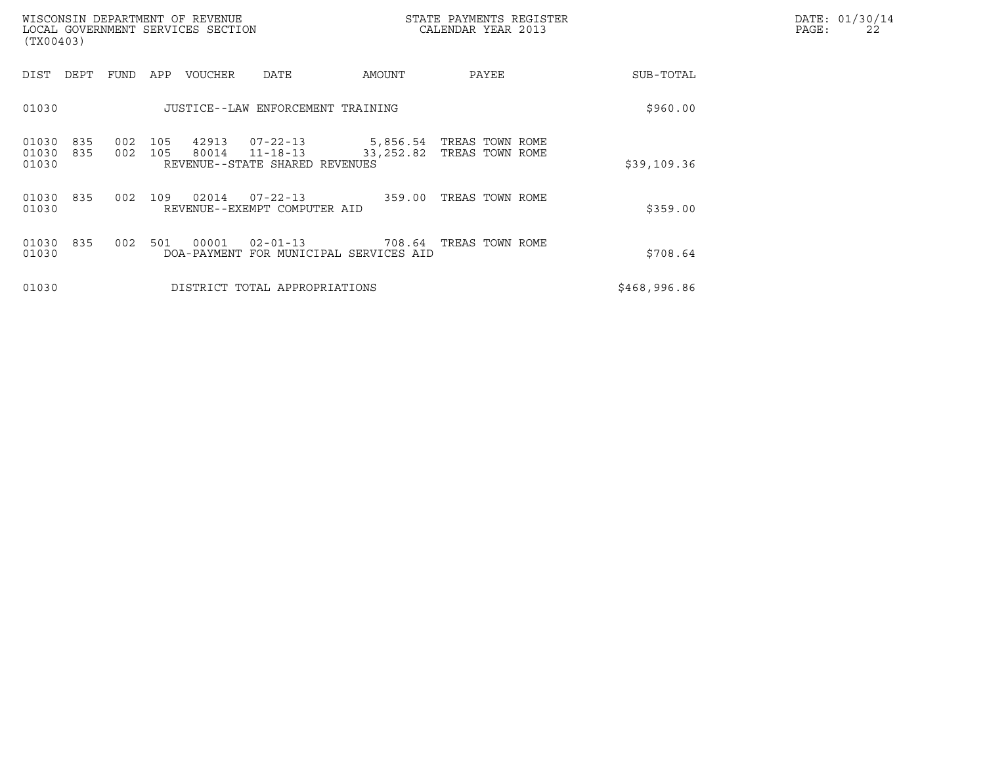| WISCONSIN DEPARTMENT OF REVENUE<br>LOCAL GOVERNMENT SERVICES SECTION<br>(TX00403) |                                                                                      | STATE PAYMENTS REGISTER<br>CALENDAR YEAR 2013            |              | DATE: 01/30/14<br>PAGE:<br>22 |
|-----------------------------------------------------------------------------------|--------------------------------------------------------------------------------------|----------------------------------------------------------|--------------|-------------------------------|
| FUND<br>DIST<br>DEPT<br>APP                                                       | VOUCHER<br>DATE                                                                      | AMOUNT<br>PAYEE                                          | SUB-TOTAL    |                               |
| 01030                                                                             | JUSTICE--LAW ENFORCEMENT TRAINING                                                    | \$960.00                                                 |              |                               |
| 835<br>002<br>105<br>01030<br>002<br>01030<br>835<br>105<br>01030                 | $07 - 22 - 13$<br>42913<br>80014<br>$11 - 18 - 13$<br>REVENUE--STATE SHARED REVENUES | 5,856.54 TREAS TOWN ROME<br>TREAS TOWN ROME<br>33,252.82 | \$39,109.36  |                               |
| 01030<br>835<br>002<br>109<br>01030                                               | 02014<br>$07 - 22 - 13$<br>REVENUE--EXEMPT COMPUTER AID                              | TREAS TOWN ROME<br>359.00                                | \$359.00     |                               |
| 002<br>01030<br>835<br>501<br>01030                                               | $02 - 01 - 13$<br>00001<br>DOA-PAYMENT FOR MUNICIPAL SERVICES AID                    | 708.64 TREAS TOWN ROME                                   | \$708.64     |                               |
| 01030                                                                             | DISTRICT TOTAL APPROPRIATIONS                                                        |                                                          | \$468,996.86 |                               |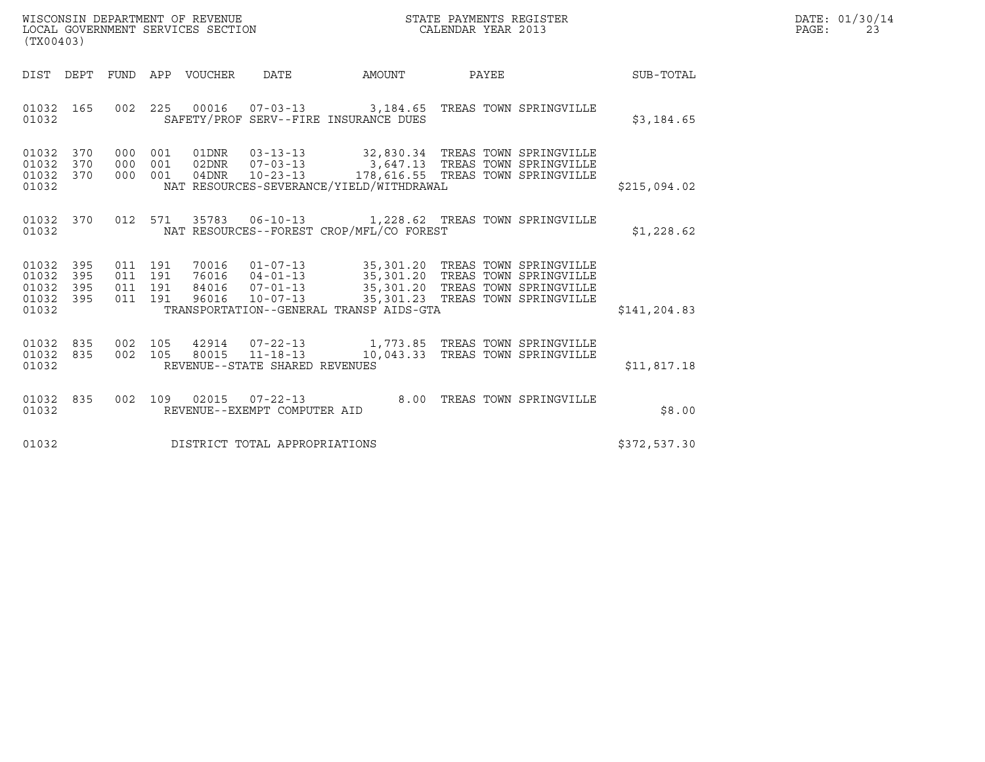| WISCONSIN DEPARTMENT OF REVENUE   | STATE PAYMENTS REGISTER | DATE: 01/30/14 |
|-----------------------------------|-------------------------|----------------|
| LOCAL GOVERNMENT SERVICES SECTION | CALENDAR YEAR 2013      | PAGE:          |

| ${\tt WISCONSIM\ DEPARTMENT\ OF\ REVENUE}\qquad \qquad {\tt STATE\ PAYMENTS\ REGISTER\ LOCAL\ GOVERNMENT\ SERVICES\ SECTION\qquad \qquad {\tt CALENDAR\ YEAR\ 2013}$<br>(TX00403) |            |  |  |                                |                                                                                                                                                                                                                                                                                 |  | DATE: 01/30/14<br>PAGE:<br>23 |  |
|-----------------------------------------------------------------------------------------------------------------------------------------------------------------------------------|------------|--|--|--------------------------------|---------------------------------------------------------------------------------------------------------------------------------------------------------------------------------------------------------------------------------------------------------------------------------|--|-------------------------------|--|
|                                                                                                                                                                                   |            |  |  |                                | DIST DEPT FUND APP VOUCHER DATE AMOUNT PAYEE THE SUB-TOTAL                                                                                                                                                                                                                      |  |                               |  |
| 01032 165<br>01032                                                                                                                                                                |            |  |  |                                | 002  225  00016  07-03-13  3,184.65  TREAS TOWN SPRINGVILLE<br>SAFETY/PROF SERV--FIRE INSURANCE DUES                                                                                                                                                                            |  | \$3,184.65                    |  |
| 01032 370<br>01032<br>01032 370<br>01032                                                                                                                                          | 370        |  |  |                                | 000 001 01DNR 03-13-13 32,830.34 TREAS TOWN SPRINGVILLE<br>000 001 02DNR 07-03-13 3,647.13 TREAS TOWN SPRINGVILLE<br>000 001 04DNR 10-23-13 178,616.55 TREAS TOWN SPRINGVILLE<br>NAT RESOURCES-SEVERANCE/YIELD/WITHDRAWAL                                                       |  | \$215,094.02                  |  |
| 01032                                                                                                                                                                             |            |  |  |                                | 01032 370 012 571 35783 06-10-13 1,228.62 TREAS TOWN SPRINGVILLE<br>NAT RESOURCES--FOREST CROP/MFL/CO FOREST                                                                                                                                                                    |  | \$1,228.62                    |  |
| 01032 395<br>01032<br>01032<br>01032 395<br>01032                                                                                                                                 | 395<br>395 |  |  |                                | 011 191 70016 01-07-13 35,301.20 TREAS TOWN SPRINGVILLE<br>011 191 76016 04-01-13 35,301.20 TREAS TOWN SPRINGVILLE<br>011 191 84016 07-01-13 35,301.20 TREAS TOWN SPRINGVILLE<br>011 191 96016 10-07-13 35,301.23 TREAS TOWN SPRINGV<br>TRANSPORTATION--GENERAL TRANSP AIDS-GTA |  | \$141, 204.83                 |  |
| 01032 835<br>01032 835<br>01032                                                                                                                                                   |            |  |  | REVENUE--STATE SHARED REVENUES | 002 105 42914 07-22-13 1,773.85 TREAS TOWN SPRINGVILLE<br>002 105 80015 11-18-13 10,043.33 TREAS TOWN SPRINGVILLE                                                                                                                                                               |  | \$11,817.18                   |  |
| 01032 835<br>01032                                                                                                                                                                |            |  |  | REVENUE--EXEMPT COMPUTER AID   | 002 109 02015 07-22-13 8.00 TREAS TOWN SPRINGVILLE                                                                                                                                                                                                                              |  | \$8.00                        |  |
| 01032                                                                                                                                                                             |            |  |  | DISTRICT TOTAL APPROPRIATIONS  |                                                                                                                                                                                                                                                                                 |  | \$372,537.30                  |  |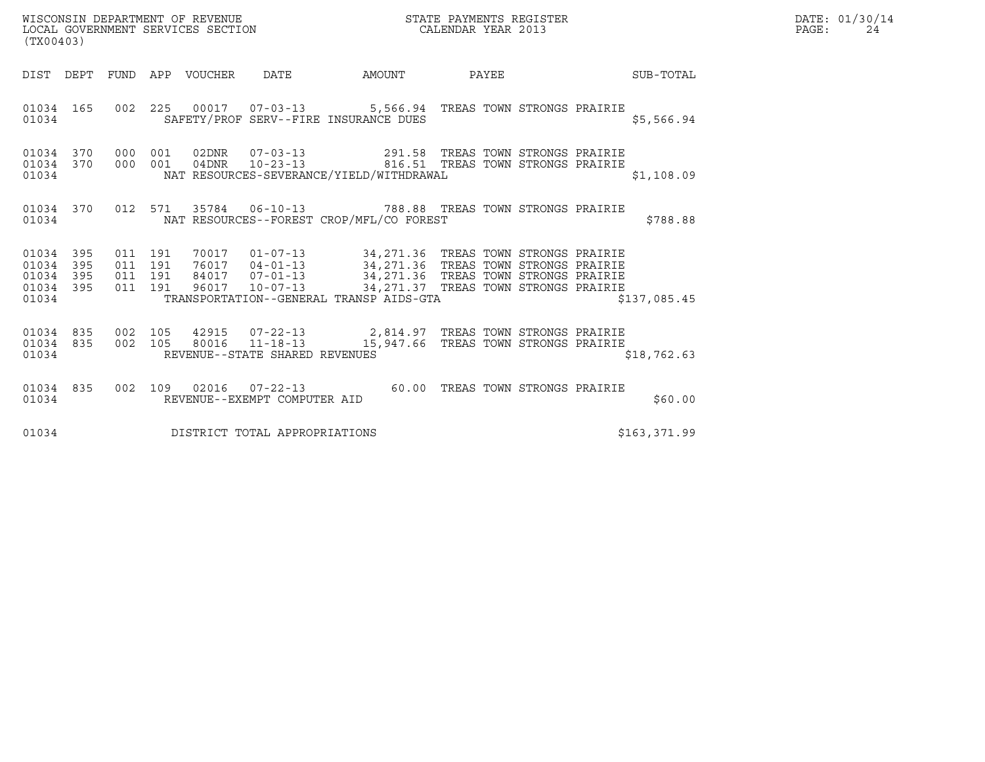| WISCONSIN DEPARTMENT OF REVENUE   | STATE PAYMENTS REGISTER | DATE: 01/30/14 |
|-----------------------------------|-------------------------|----------------|
| LOCAL GOVERNMENT SERVICES SECTION | CALENDAR YEAR 2013      | PAGE:          |

|                                                           | (TX00403) |         |  |  |                                      |                                                                                                                                                                                                                                                                                                                                                                                                           |  |               | DATE: 01/30/14<br>PAGE: | 24 |  |
|-----------------------------------------------------------|-----------|---------|--|--|--------------------------------------|-----------------------------------------------------------------------------------------------------------------------------------------------------------------------------------------------------------------------------------------------------------------------------------------------------------------------------------------------------------------------------------------------------------|--|---------------|-------------------------|----|--|
|                                                           |           |         |  |  |                                      | DIST DEPT FUND APP VOUCHER DATE AMOUNT PAYEE PAYER SUB-TOTAL                                                                                                                                                                                                                                                                                                                                              |  |               |                         |    |  |
|                                                           |           | 01034   |  |  |                                      | 01034 165 002 225 00017 07-03-13 5,566.94 TREAS TOWN STRONGS PRAIRIE<br>SAFETY/PROF SERV--FIRE INSURANCE DUES                                                                                                                                                                                                                                                                                             |  | \$5,566.94    |                         |    |  |
|                                                           |           |         |  |  |                                      | $\begin{array}{cccccccc} 01034 & 370 & 000 & 001 & 02\text{DNR} & 07-03-13 & & & 291.58 & \text{TREAS TOWN STRONGS PRAIRIE} \\ 01034 & 370 & 000 & 001 & 04\text{DNR} & 10-23-13 & & & 816.51 & \text{TREAS TOWN STRONGS PRAIRIE} \end{array}$<br>01034 NAT RESOURCES-SEVERANCE/YIELD/WITHDRAWAL                                                                                                          |  | \$1,108.09    |                         |    |  |
|                                                           |           |         |  |  |                                      | 01034 370 012 571 35784 06-10-13 788.88 TREAS TOWN STRONGS PRAIRIE<br>01034 NAT RESOURCES--FOREST CROP/MFL/CO FOREST                                                                                                                                                                                                                                                                                      |  | \$788.88      |                         |    |  |
| 01034 395<br>01034 395<br>01034 395<br>01034 395<br>01034 |           | 011 191 |  |  |                                      | $\begin{array}{cccc} 011 & 191 & 70017 & 01-07-13 & 34,271.36 & \text{TREAS} & \text{TOWN} & \text{STRONGS} & \text{PRAIRIE} \\ 011 & 191 & 76017 & 04-01-13 & 34,271.36 & \text{TREAS} & \text{TOWN} & \text{STRONGS} & \text{PRAIRIE} \\ 011 & 191 & 84017 & 07-01-13 & 34,271.36 & \text{TREAS} & \text{TOWN} & \text{STRONGS} & \text{PRAIRIE} \\ 011 & 1$<br>TRANSPORTATION--GENERAL TRANSP AIDS-GTA |  | \$137,085.45  |                         |    |  |
|                                                           |           |         |  |  | 01034 REVENUE--STATE SHARED REVENUES | $\begin{array}{cccccccc} 01034 & 835 & 002 & 105 & 42915 & 07-22-13 & & 2,814.97 & \text{TREAS TOWN STRONGS PRAIRIE} \\ 01034 & 835 & 002 & 105 & 80016 & 11-18-13 & & 15,947.66 & \text{TREAS TOWN STRONGS PRAIRIE} \end{array}$                                                                                                                                                                         |  | \$18,762.63   |                         |    |  |
|                                                           |           |         |  |  |                                      | 01034 835 002 109 02016 07-22-13 60.00 TREAS TOWN STRONGS PRAIRIE<br>01034 REVENUE--EXEMPT COMPUTER AID                                                                                                                                                                                                                                                                                                   |  | \$60.00       |                         |    |  |
|                                                           |           |         |  |  | 01034 DISTRICT TOTAL APPROPRIATIONS  |                                                                                                                                                                                                                                                                                                                                                                                                           |  | \$163, 371.99 |                         |    |  |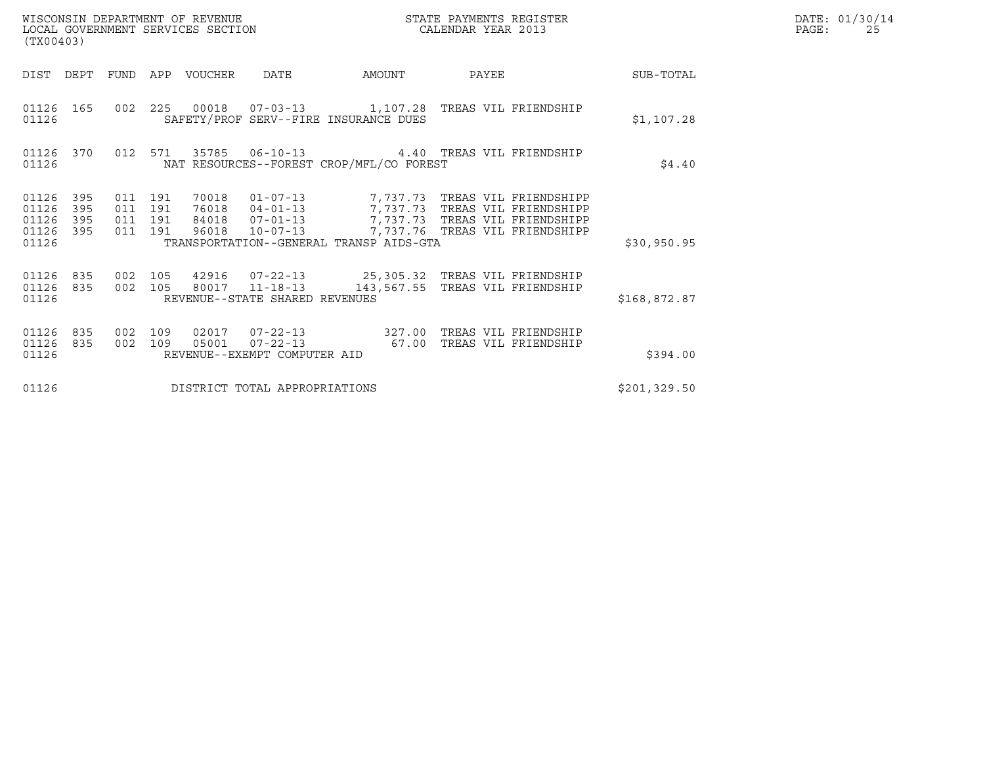| STATE PAYMENTS REGISTER<br>WISCONSIN DEPARTMENT OF REVENUE<br>LOCAL GOVERNMENT SERVICES SECTION<br>CALENDAR YEAR 2013<br>(TX00403) |                    |                                          |                |                                |                                                                                                                                                                                            |       |  |               | DATE: 01/30/14<br>PAGE:<br>25 |
|------------------------------------------------------------------------------------------------------------------------------------|--------------------|------------------------------------------|----------------|--------------------------------|--------------------------------------------------------------------------------------------------------------------------------------------------------------------------------------------|-------|--|---------------|-------------------------------|
| DIST DEPT FUND APP VOUCHER                                                                                                         |                    |                                          |                | DATE                           | AMOUNT                                                                                                                                                                                     | PAYEE |  | SUB-TOTAL     |                               |
| 01126 165<br>01126                                                                                                                 |                    |                                          |                |                                | 002  225  00018  07-03-13  1,107.28  TREAS VIL FRIENDSHIP<br>SAFETY/PROF SERV--FIRE INSURANCE DUES                                                                                         |       |  | \$1,107.28    |                               |
| 01126 370<br>01126                                                                                                                 |                    | 012 571                                  |                |                                | NAT RESOURCES--FOREST CROP/MFL/CO FOREST                                                                                                                                                   |       |  | \$4.40        |                               |
| 01126 395<br>01126<br>395<br>01126<br>395<br>01126 395                                                                             |                    | 011 191<br>011 191<br>011 191<br>011 191 | 70018<br>96018 |                                | 01-07-13 7,737.73 TREAS VIL FRIENDSHIPP<br>76018  04-01-13  7,737.73  TREAS VIL FRIENDSHIPP<br>84018  07-01-13  7,737.73  TREAS VIL FRIENDSHIPP<br>10-07-13 7,737.76 TREAS VIL FRIENDSHIPP |       |  |               |                               |
| 01126                                                                                                                              |                    |                                          |                |                                | TRANSPORTATION--GENERAL TRANSP AIDS-GTA                                                                                                                                                    |       |  | \$30,950.95   |                               |
| 01126<br>835<br>01126 835<br>01126                                                                                                 | 002 105<br>002 105 |                                          |                | REVENUE--STATE SHARED REVENUES | 42916  07-22-13  25,305.32  TREAS VIL FRIENDSHIP<br>80017  11-18-13  143,567.55  TREAS VIL FRIENDSHIP                                                                                      |       |  | \$168,872.87  |                               |
| 01126<br>835<br>01126 835<br>01126                                                                                                 | 002 109<br>002 109 |                                          | 05001          | REVENUE--EXEMPT COMPUTER AID   | 02017  07-22-13  327.00 TREAS VIL FRIENDSHIP                                                                                                                                               |       |  | \$394.00      |                               |
| 01126                                                                                                                              |                    |                                          |                | DISTRICT TOTAL APPROPRIATIONS  |                                                                                                                                                                                            |       |  | \$201, 329.50 |                               |